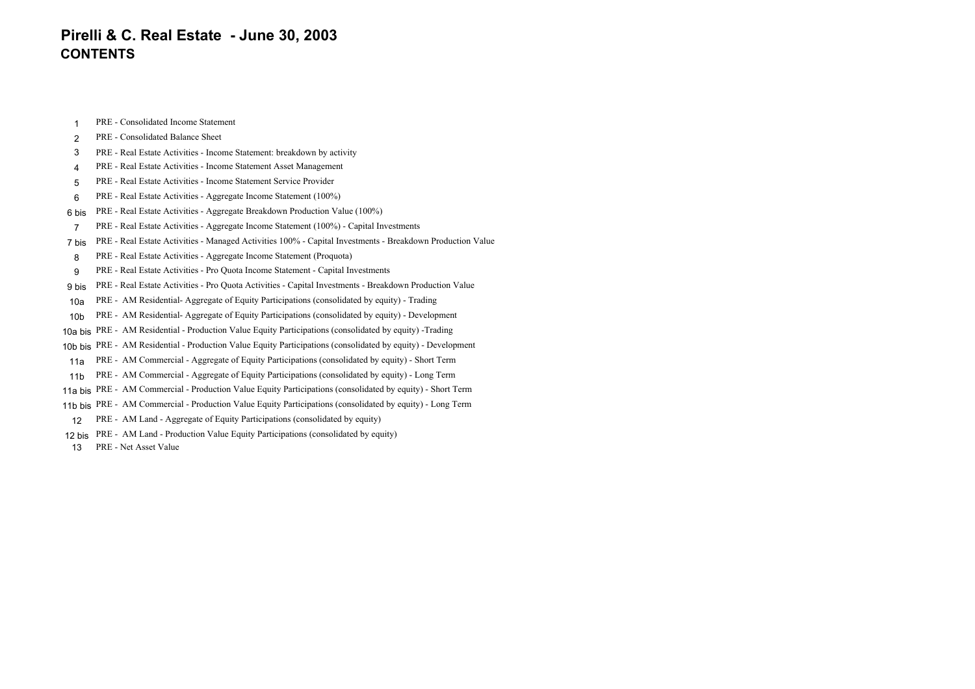# **Pirelli & C. Real Estate - June 30, 2003 CONTENTS**

1PRE - Consolidated Income Statement

#### 2PRE - Consolidated Balance Sheet

- 3PRE - Real Estate Activities - Income Statement: breakdown by activity
- 4PRE - Real Estate Activities - Income Statement Asset Management
- 5PRE - Real Estate Activities - Income Statement Service Provider
- 6PRE - Real Estate Activities - Aggregate Income Statement (100%)
- 6 bisPRE - Real Estate Activities - Aggregate Breakdown Production Value (100%)
- 7PRE - Real Estate Activities - Aggregate Income Statement (100%) - Capital Investments
- 7 bisPRE - Real Estate Activities - Managed Activities 100% - Capital Investments - Breakdown Production Value
- 8PRE - Real Estate Activities - Aggregate Income Statement (Proquota)
- 9PRE - Real Estate Activities - Pro Quota Income Statement - Capital Investments
- 9 bisPRE - Real Estate Activities - Pro Quota Activities - Capital Investments - Breakdown Production Value
- 10aPRE - AM Residential- Aggregate of Equity Participations (consolidated by equity) - Trading
- 10bPRE - AM Residential- Aggregate of Equity Participations (consolidated by equity) - Development
- 10a bisPRE - AM Residential - Production Value Equity Participations (consolidated by equity) -Trading
- 10b bisPRE - AM Residential - Production Value Equity Participations (consolidated by equity) - Development
- 11aPRE - AM Commercial - Aggregate of Equity Participations (consolidated by equity) - Short Term
- 11bPRE - AM Commercial - Aggregate of Equity Participations (consolidated by equity) - Long Term
- 11a bisPRE - AM Commercial - Production Value Equity Participations (consolidated by equity) - Short Term
- 11b bis PRE AM Commercial Production Value Equity Participations (consolidated by equity) Long Term
- 12PRE - AM Land - Aggregate of Equity Participations (consolidated by equity)
- 12 bisPRE - AM Land - Production Value Equity Participations (consolidated by equity)

13PRE - Net Asset Value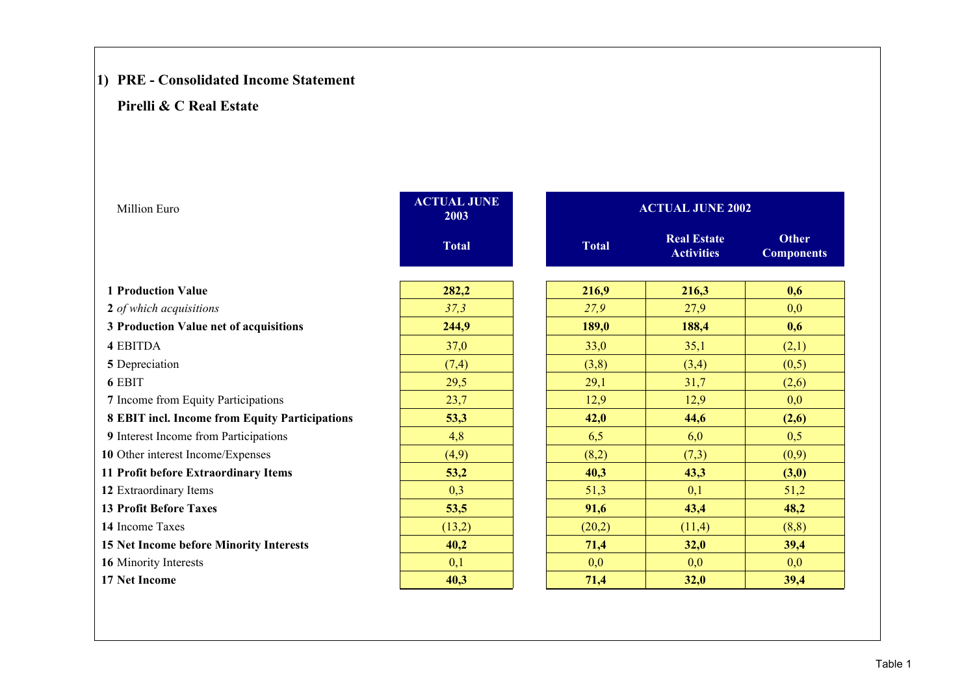# **1) PRE - Consolidated Income Statement**

| <b>Million Euro</b>                            | <b>ACTUAL JUNE</b><br>2003 |              | <b>ACTUAL JUNE 2002</b>                 |                                   |
|------------------------------------------------|----------------------------|--------------|-----------------------------------------|-----------------------------------|
|                                                | <b>Total</b>               | <b>Total</b> | <b>Real Estate</b><br><b>Activities</b> | <b>Other</b><br><b>Components</b> |
| <b>1 Production Value</b>                      | 282,2                      | 216,9        | 216,3                                   | 0.6                               |
| 2 of which acquisitions                        | 37,3                       | 27,9         | 27,9                                    | 0,0                               |
| 3 Production Value net of acquisitions         | 244,9                      | 189,0        | 188,4                                   | 0,6                               |
| <b>4 EBITDA</b>                                | 37,0                       | 33,0         | 35,1                                    | (2,1)                             |
| 5 Depreciation                                 | (7,4)                      | (3,8)        | (3,4)                                   | (0,5)                             |
| 6 EBIT                                         | 29,5                       | 29,1         | 31,7                                    | (2,6)                             |
| 7 Income from Equity Participations            | 23,7                       | 12,9         | 12,9                                    | 0,0                               |
| 8 EBIT incl. Income from Equity Participations | 53,3                       | 42,0         | 44,6                                    | (2,6)                             |
| 9 Interest Income from Participations          | 4,8                        | 6,5          | 6,0                                     | 0,5                               |
| 10 Other interest Income/Expenses              | (4,9)                      | (8,2)        | (7,3)                                   | (0,9)                             |
| 11 Profit before Extraordinary Items           | 53,2                       | 40,3         | 43,3                                    | (3,0)                             |
| 12 Extraordinary Items                         | 0,3                        | 51,3         | 0,1                                     | 51,2                              |
| <b>13 Profit Before Taxes</b>                  | 53,5                       | 91,6         | 43,4                                    | 48,2                              |
| 14 Income Taxes                                | (13,2)                     | (20,2)       | (11,4)                                  | (8, 8)                            |
| 15 Net Income before Minority Interests        | 40,2                       | 71,4         | 32,0                                    | 39,4                              |
| 16 Minority Interests                          | 0,1                        | 0,0          | 0,0                                     | 0,0                               |
| <b>17 Net Income</b>                           | 40,3                       | 71,4         | 32,0                                    | 39,4                              |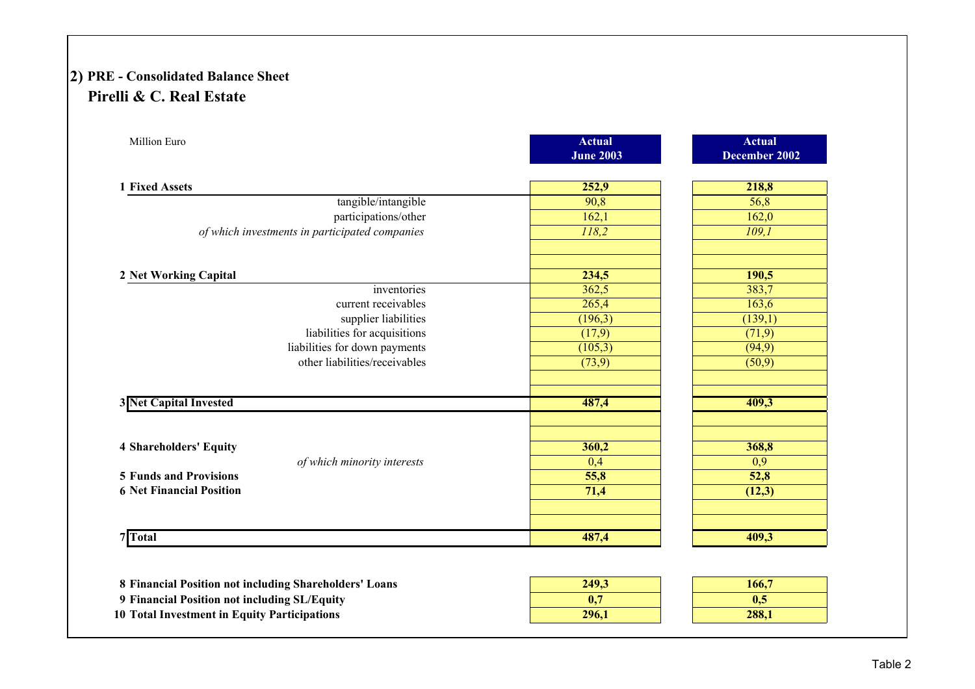# **2) PRE - Consolidated Balance Sheet Pirelli & C. Real Estate**

| Million Euro                                   | <b>Actual</b><br><b>June 2003</b> | <b>Actual</b><br>December 2002 |
|------------------------------------------------|-----------------------------------|--------------------------------|
| 1 Fixed Assets                                 | 252,9                             | 218,8                          |
| tangible/intangible                            | 90,8                              | 56,8                           |
| participations/other                           | 162,1                             | 162,0                          |
| of which investments in participated companies | 118,2                             | 109.1                          |
| 2 Net Working Capital                          | 234,5                             | 190,5                          |
| inventories                                    | 362,5                             | 383,7                          |
| current receivables                            | 265,4                             | 163,6                          |
| supplier liabilities                           | (196,3)                           | (139,1)                        |
| liabilities for acquisitions                   | (17,9)                            | (71,9)                         |
| liabilities for down payments                  | (105,3)                           | (94, 9)                        |
| other liabilities/receivables                  | (73,9)                            | (50,9)                         |
| <b>3 Net Capital Invested</b>                  | 487,4                             | 409,3                          |
|                                                |                                   |                                |
| <b>4 Shareholders' Equity</b>                  | 360,2                             | 368,8                          |
| of which minority interests                    | 0,4                               | 0,9                            |
| <b>5 Funds and Provisions</b>                  | 55,8                              | 52,8                           |
| <b>6 Net Financial Position</b>                | 71,4                              | (12,3)                         |
| <b>Total</b>                                   | 487,4                             | 409,3                          |

| 8 Financial Position not including Shareholders' Loans | 249.3 | 166.7 |
|--------------------------------------------------------|-------|-------|
| 9 Financial Position not including SL/Equity           | 0.    | 0.4   |
| 10 Total Investment in Equity Participations           | 296.1 | 288.1 |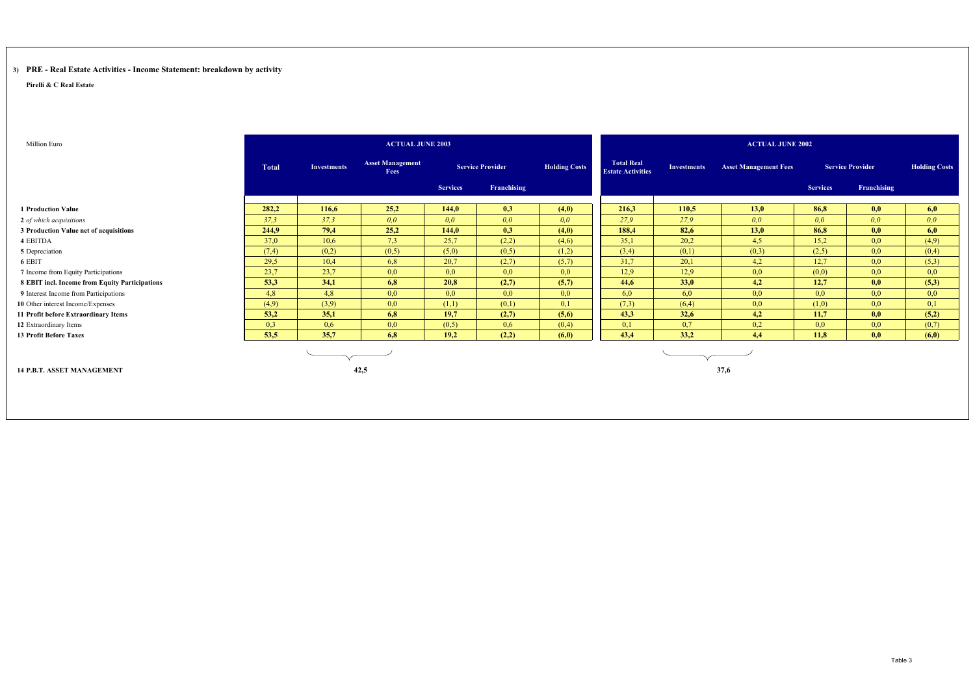## **3) PRE - Real Estate Activities - Income Statement: breakdown by activity**

| Million Euro                                   |              |                    | <b>ACTUAL JUNE 2003</b>         |                 |                         |                      |                                               |                    | <b>ACTUAL JUNE 2002</b>      |                 |                         |                      |
|------------------------------------------------|--------------|--------------------|---------------------------------|-----------------|-------------------------|----------------------|-----------------------------------------------|--------------------|------------------------------|-----------------|-------------------------|----------------------|
|                                                | <b>Total</b> | <b>Investments</b> | <b>Asset Management</b><br>Fees |                 | <b>Service Provider</b> | <b>Holding Costs</b> | <b>Total Real</b><br><b>Estate Activities</b> | <b>Investments</b> | <b>Asset Management Fees</b> |                 | <b>Service Provider</b> | <b>Holding Costs</b> |
|                                                |              |                    |                                 | <b>Services</b> | Franchising             |                      |                                               |                    |                              | <b>Services</b> | Franchising             |                      |
| <b>1 Production Value</b>                      | 282.2        | 116,6              | 25,2                            | 144,0           | 0.3                     | (4,0)                | 216.3                                         | 110.5              | 13,0                         | 86,8            | 0,0                     | 6,0                  |
| 2 of which acquisitions                        | 37.3         | 37,3               | 0,0                             | 0,0             | 0,0                     | 0,0                  | 27,9                                          | 27.9               | 0,0                          | 0,0             | 0,0                     | 0,0                  |
| 3 Production Value net of acquisitions         | 244,9        | 79,4               | 25,2                            | 144,0           | 0,3                     | (4,0)                | 188,4                                         | 82,6               | 13,0                         | 86,8            | 0,0                     | 6,0                  |
| 4 EBITDA                                       | 37,0         | 10,6               | 7,3                             | 25,7            | (2,2)                   | (4,6)                | 35,1                                          | 20,2               | 4,5                          | 15,2            | 0,0                     | (4,9)                |
| 5 Depreciation                                 | (7,4)        | (0,2)              | (0,5)                           | (5,0)           | (0,5)                   | (1,2)                | (3,4)                                         | (0,1)              | (0,3)                        | (2,5)           | 0,0                     | (0,4)                |
| 6 EBIT                                         | 29,5         | 10,4               | 6,8                             | 20,7            | (2,7)                   | (5,7)                | 31,7                                          | 20,1               | 4,2                          | 12,7            | 0,0                     | (5,3)                |
| 7 Income from Equity Participations            | 23,7         | 23,7               | 0,0                             | 0,0             | 0,0                     | 0,0                  | 12,9                                          | 12,9               | 0,0                          | (0,0)           | 0,0                     | 0,0                  |
| 8 EBIT incl. Income from Equity Participations | 53,3         | 34,1               | 6,8                             | 20,8            | (2,7)                   | (5,7)                | 44,6                                          | 33,0               | 4,2                          | 12,7            | 0,0                     | (5,3)                |
| 9 Interest Income from Participations          | 4,8          | 4,8                | 0,0                             | 0,0             | 0,0                     | 0,0                  | 6,0                                           | 6,0                | 0,0                          | 0,0             | 0,0                     | 0,0                  |
| 10 Other interest Income/Expenses              | (4,9)        | (3,9)              | 0,0                             | (1,1)           | (0,1)                   | 0,1                  | (7,3)                                         | (6,4)              | 0,0                          | (1,0)           | 0,0                     | 0,1                  |
| 11 Profit before Extraordinary Items           | 53,2         | 35,1               | 6,8                             | 19,7            | (2,7)                   | (5,6)                | 43,3                                          | 32,6               | 4,2                          | 11,7            | 0,0                     | (5,2)                |
| 12 Extraordinary Items                         | 0,3          | 0,6                | 0,0                             | (0,5)           | 0,6                     | (0,4)                | 0,1                                           | 0,7                | 0,2                          | 0,0             | 0,0                     | (0,7)                |
| <b>13 Profit Before Taxes</b>                  | 53,5         | 35,7               | 6,8                             | 19,2            | (2,2)                   | (6,0)                | 43,4                                          | 33,2               | 4,4                          | 11,8            | 0,0                     | (6,0)                |
|                                                |              |                    |                                 |                 |                         |                      |                                               |                    |                              |                 |                         |                      |
| <b>14 P.B.T. ASSET MANAGEMENT</b>              |              |                    | 42,5                            |                 |                         |                      |                                               |                    | 37,6                         |                 |                         |                      |
|                                                |              |                    |                                 |                 |                         |                      |                                               |                    |                              |                 |                         |                      |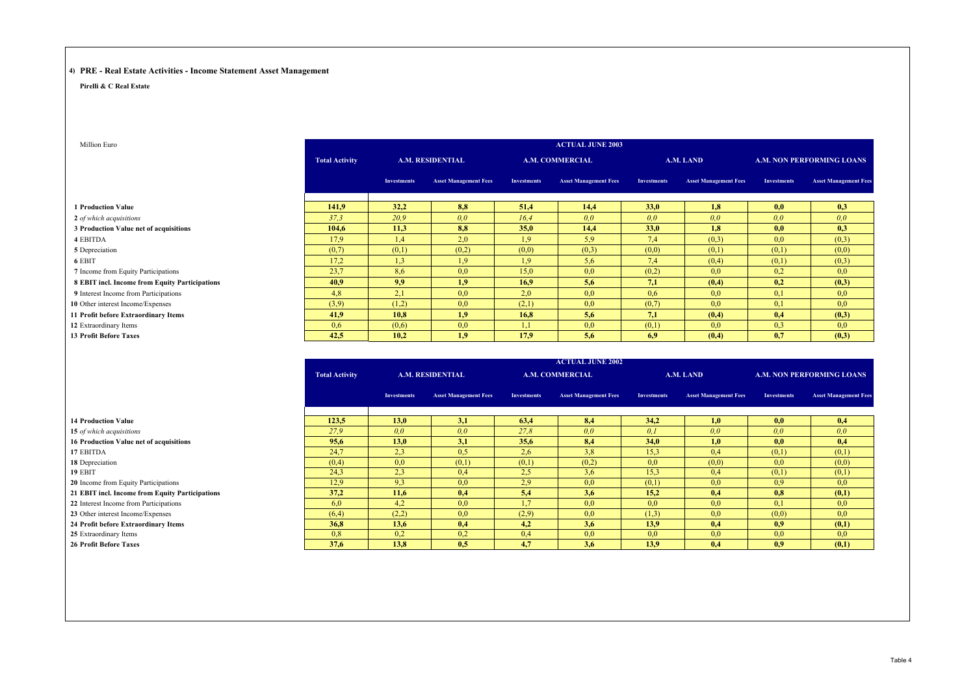## **4) PRE - Real Estate Activities - Income Statement Asset Management**

**Pirelli & C Real Estate**

| Million Euro                                   |                       |                    |                              |                    | <b>ACTUAL JUNE 2003</b>      |                    |                              |                    |                                  |
|------------------------------------------------|-----------------------|--------------------|------------------------------|--------------------|------------------------------|--------------------|------------------------------|--------------------|----------------------------------|
|                                                | <b>Total Activity</b> |                    | <b>A.M. RESIDENTIAL</b>      |                    | <b>A.M. COMMERCIAL</b>       |                    | A.M. LAND                    |                    | <b>A.M. NON PERFORMING LOANS</b> |
|                                                |                       | <b>Investments</b> | <b>Asset Management Fees</b> | <b>Investments</b> | <b>Asset Management Fees</b> | <b>Investments</b> | <b>Asset Management Fees</b> | <b>Investments</b> | <b>Asset Management Fees</b>     |
| <b>1 Production Value</b>                      | 141.9                 | 32,2               | 8,8                          | 51,4               | 14.4                         | 33,0               | 1,8                          | 0,0                | 0,3                              |
| 2 of which acquisitions                        | 37.3                  | 20.9               | 0.0                          | 16.4               | 0.0                          | 0.0                | 0.0                          | 0.0                | 0.0                              |
| 3 Production Value net of acquisitions         | 104.6                 | 11,3               | 8,8                          | 35.0               | 14,4                         | 33.0               | 1,8                          | 0,0                | 0,3                              |
| 4 EBITDA                                       | 17,9                  | 1,4                | 2,0                          | 1.9                | 5,9                          | 7.4                | (0,3)                        | 0,0                | (0,3)                            |
| 5 Depreciation                                 | (0,7)                 | (0,1)              | (0,2)                        | (0,0)              | (0,3)                        | (0,0)              | (0,1)                        | (0,1)              | (0,0)                            |
| 6 EBIT                                         | 17.2                  | 1.3                | 1.9                          | 1.9                | 5,6                          | 7.4                | (0,4)                        | (0,1)              | (0,3)                            |
| 7 Income from Equity Participations            | 23.7                  | 8.6                | 0,0                          | 15,0               | 0,0                          | (0,2)              | 0.0                          | 0,2                | 0,0                              |
| 8 EBIT incl. Income from Equity Participations | 40.9                  | 9.9                | 1,9                          | 16.9               | 5,6                          | 7,1                | (0,4)                        | 0,2                | (0,3)                            |
| 9 Interest Income from Participations          | 4.8                   | 2,1                | 0,0                          | 2,0                | 0,0                          | 0.6                | 0,0                          | 0,1                | 0,0                              |
| 10 Other interest Income/Expenses              | (3,9)                 | (1,2)              | 0,0                          | (2,1)              | 0,0                          | (0,7)              | 0,0                          | 0,1                | 0,0                              |
| 11 Profit before Extraordinary Items           | 41.9                  | 10.8               | 1.9                          | 16.8               | 5.6                          | 7.1                | (0,4)                        | 0.4                | (0,3)                            |
| 12 Extraordinary Items                         | 0.6                   | (0,6)              | 0,0                          | 1,1                | 0,0                          | (0,1)              | 0,0                          | 0,3                | 0,0                              |
| <b>13 Profit Before Taxes</b>                  | 42,5                  | 10,2               | 1,9                          | 17.9               | 5.6                          | 6,9                | (0,4)                        | 0.7                | (0,3)                            |

|                       |                    |                              |                                       | <b>ACTUAL JUNE 2002</b>      |                                      |                              |                         |                                  |
|-----------------------|--------------------|------------------------------|---------------------------------------|------------------------------|--------------------------------------|------------------------------|-------------------------|----------------------------------|
| <b>Total Activity</b> |                    |                              |                                       |                              |                                      |                              |                         | <b>A.M. NON PERFORMING LOANS</b> |
|                       | <b>Investments</b> | <b>Asset Management Fees</b> | <b>Investments</b>                    | <b>Asset Management Fees</b> | <b>Investments</b>                   | <b>Asset Management Fees</b> | <b>Investments</b>      | <b>Asset Management Fees</b>     |
|                       |                    |                              |                                       |                              |                                      |                              |                         |                                  |
|                       |                    |                              |                                       |                              |                                      |                              |                         | 0,4                              |
|                       |                    |                              |                                       |                              |                                      |                              |                         | 0,0                              |
| 95.6                  | 13.0               | 3,1                          | 35.6                                  | 8.4                          | <b>34.0</b>                          | 1.0                          | 0.0                     | 0.4                              |
| 24.7                  | 2,3                | 0,5                          | 2,6                                   | 3,8                          | 15,3                                 | 0.4                          | (0,1)                   | (0,1)                            |
| (0,4)                 | 0,0                | (0,1)                        | (0,1)                                 | (0,2)                        | 0,0                                  | (0,0)                        | 0,0                     | (0,0)                            |
| 24.3                  | 2,3                | 0.4                          | 2.5                                   | 3,6                          | 15,3                                 | 0.4                          | (0,1)                   | (0,1)                            |
| 12.9                  | 9.3                | 0,0                          | 2.9                                   | 0,0                          | (0,1)                                | 0.0                          | 0.9                     | 0,0                              |
| 37.2                  | 11.6               | 0.4                          | 5.4                                   | 3,6                          | 15,2                                 | 0.4                          | 0.8                     | (0,1)                            |
| 6,0                   | 4,2                | 0,0                          | 1,7                                   | 0,0                          | 0,0                                  | 0.0                          | 0,1                     | 0,0                              |
| (6,4)                 | (2,2)              | 0,0                          | (2,9)                                 | 0,0                          | (1,3)                                | 0.0                          | (0,0)                   | 0,0                              |
| 36.8                  | 13,6               | 0,4                          | 4,2                                   | 3,6                          | 13,9                                 | 0.4                          | 0.9                     | (0,1)                            |
| 0.8                   | 0,2                | 0,2                          | 0.4                                   | 0,0                          | 0,0                                  | 0.0                          | 0,0                     | 0,0                              |
| 37,6                  | 13,8               | 0.5                          | 4,7                                   | 3,6                          | 13,9                                 | 0,4                          | 0.9                     | (0,1)                            |
|                       | 123.5<br>27.9      | <b>13.0</b><br>0.0           | <b>A.M. RESIDENTIAL</b><br>3,1<br>0.0 | 63.4<br>27.8                 | <b>A.M. COMMERCIAL</b><br>8,4<br>0,0 | 34.2<br>0.1                  | A.M. LAND<br>1.0<br>0.0 | 0,0<br>0.0                       |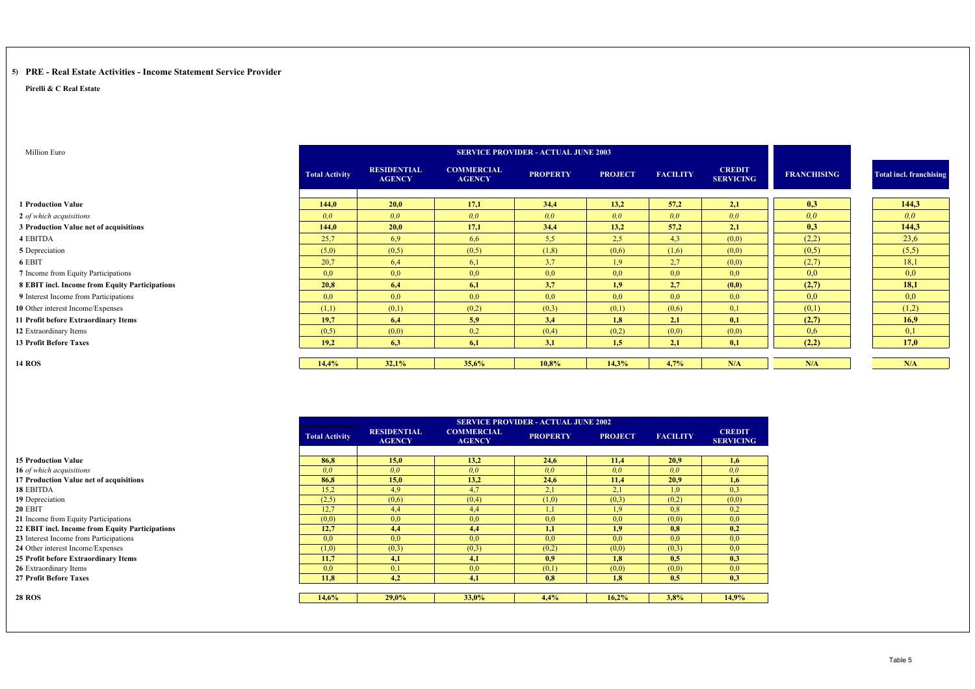#### **5) PRE - Real Estate Activities - Income Statement Service Provider**

**Pirelli & C Real Estate**

**14 ROS**

**28 ROS**

| Million Euro                                   |                       |                                     |                                    | <b>SERVICE PROVIDER - ACTUAL JUNE 2003</b> |                |                 |                                   |                    |                                |
|------------------------------------------------|-----------------------|-------------------------------------|------------------------------------|--------------------------------------------|----------------|-----------------|-----------------------------------|--------------------|--------------------------------|
|                                                | <b>Total Activity</b> | <b>RESIDENTIAL</b><br><b>AGENCY</b> | <b>COMMERCIAL</b><br><b>AGENCY</b> | <b>PROPERTY</b>                            | <b>PROJECT</b> | <b>FACILITY</b> | <b>CREDIT</b><br><b>SERVICING</b> | <b>FRANCHISING</b> | <b>Total incl. franchising</b> |
| <b>1 Production Value</b>                      | 144.0                 | 20,0                                | 17,1                               | 34,4                                       | 13,2           | 57,2            | 2,1                               | 0,3                | 144,3                          |
| 2 of which acquisitions                        | 0.0                   | 0,0                                 | 0,0                                | 0,0                                        | 0,0            | 0.0             | 0.0                               | 0,0                | 0.0                            |
| 3 Production Value net of acquisitions         | 144.0                 | 20,0                                | 17,1                               | 34,4                                       | 13,2           | 57,2            | 2,1                               | 0,3                | 144,3                          |
| 4 EBITDA                                       | 25,7                  | 6,9                                 | 6,6                                | 5,5                                        | 2.5            | 4,3             | (0,0)                             | (2,2)              | 23,6                           |
| 5 Depreciation                                 | (5,0)                 | (0,5)                               | (0,5)                              | (1,8)                                      | (0,6)          | (1,6)           | (0,0)                             | (0,5)              | (5,5)                          |
| 6 EBIT                                         | 20,7                  | 6,4                                 | 6,1                                | 3,7                                        | 1.9            | 2,7             | (0,0)                             | (2,7)              | 18,1                           |
| 7 Income from Equity Participations            | 0.0                   | 0,0                                 | 0,0                                | 0,0                                        | 0,0            | 0,0             | 0,0                               | 0,0                | 0,0                            |
| 8 EBIT incl. Income from Equity Participations | 20.8                  | 6,4                                 | 6,1                                | 3,7                                        | 1,9            | 2,7             | (0,0)                             | (2,7)              | 18,1                           |
| 9 Interest Income from Participations          | 0,0                   | 0,0                                 | 0,0                                | 0,0                                        | 0,0            | 0.0             | 0,0                               | 0,0                | 0,0                            |
| 10 Other interest Income/Expenses              | (1,1)                 | (0,1)                               | (0,2)                              | (0,3)                                      | (0,1)          | (0,6)           | 0,1                               | (0,1)              | (1,2)                          |
| 11 Profit before Extraordinary Items           | 19.7                  | 6.4                                 | 5.9                                | 3,4                                        | 1.8            | 2,1             | 0,1                               | (2,7)              | 16,9                           |
| 12 Extraordinary Items                         | (0,5)                 | (0,0)                               | 0,2                                | (0,4)                                      | (0,2)          | (0,0)           | (0,0)                             | 0.6                | 0,1                            |
| <b>13 Profit Before Taxes</b>                  | 19,2                  | 6,3                                 | 6,1                                | 3,1                                        | 1,5            | 2,1             | 0,1                               | (2,2)              | 17,0                           |
|                                                |                       |                                     |                                    |                                            |                |                 |                                   |                    |                                |
| <b>14 ROS</b>                                  | 14,4%                 | 32,1%                               | 35,6%                              | 10,8%                                      | 14,3%          | 4,7%            | N/A                               | N/A                | N/A                            |

|                                                 |                       |                                     |                                    | <b>SERVICE PROVIDER - ACTUAL JUNE 2002</b> |                |                 |                                   |
|-------------------------------------------------|-----------------------|-------------------------------------|------------------------------------|--------------------------------------------|----------------|-----------------|-----------------------------------|
|                                                 | <b>Total Activity</b> | <b>RESIDENTIAL</b><br><b>AGENCY</b> | <b>COMMERCIAL</b><br><b>AGENCY</b> | <b>PROPERTY</b>                            | <b>PROJECT</b> | <b>FACILITY</b> | <b>CREDIT</b><br><b>SERVICING</b> |
| <b>15 Production Value</b>                      | 86.8                  | 15,0                                | 13,2                               | 24,6                                       | 11,4           | 20,9            | 1,6                               |
| 16 of which acquisitions                        | 0.0                   | 0.0                                 | 0.0                                | 0.0                                        | 0.0            | 0.0             | 0.0                               |
| 17 Production Value net of acquisitions         | 86.8                  | 15,0                                | 13,2                               | 24,6                                       | 11,4           | 20.9            | 1,6                               |
| 18 EBITDA                                       | 15,2                  | 4.9                                 | 4,7                                | 2,1                                        | 2,1            | 1,0             | 0.3                               |
| 19 Depreciation                                 | (2,5)                 | (0,6)                               | (0,4)                              | (1,0)                                      | (0,3)          | (0,2)           | (0,0)                             |
| 20 EBIT                                         | 12.7                  | 4,4                                 | 4,4                                | 1,1                                        | 1.9            | 0,8             | 0.2                               |
| 21 Income from Equity Participations            | (0,0)                 | 0,0                                 | 0,0                                | 0,0                                        | 0,0            | (0,0)           | 0,0                               |
| 22 EBIT incl. Income from Equity Participations | 12,7                  | 4,4                                 | 4,4                                | 1,1                                        | 1,9            | 0,8             | 0,2                               |
| 23 Interest Income from Participations          | 0.0                   | 0,0                                 | 0,0                                | 0.0                                        | 0.0            | 0.0             | 0,0                               |
| 24 Other interest Income/Expenses               | (1,0)                 | (0,3)                               | (0,3)                              | (0,2)                                      | (0,0)          | (0,3)           | 0,0                               |
| 25 Profit before Extraordinary Items            | 11.7                  | 4,1                                 | 4,1                                | 0.9                                        | 1.8            | 0.5             | 0,3                               |
| 26 Extraordinary Items                          | 0.0                   | 0,1                                 | 0.0                                | (0,1)                                      | (0,0)          | (0,0)           | 0.0                               |
| <b>27 Profit Before Taxes</b>                   | 11,8                  | 4,2                                 | 4,1                                | 0.8                                        | 1,8            | 0,5             | 0,3                               |
|                                                 |                       |                                     |                                    |                                            |                |                 |                                   |
| 28 ROS                                          | 14.6%                 | $29.0\%$                            | 33,0%                              | 4.4%                                       | 16,2%          | 3,8%            | 14,9%                             |

Table 5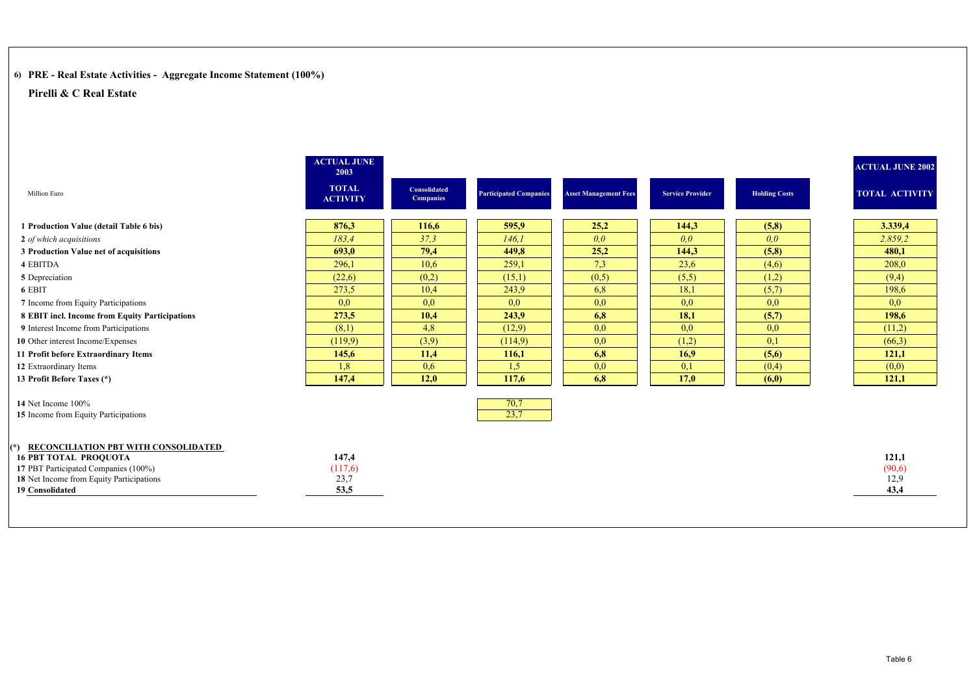# **6) PRE - Real Estate Activities - Aggregate Income Statement (100%)**

|                                                                                                                                                                                 | <b>ACTUAL JUNE</b><br>2003       |                           |                               |                              |                         |                      | <b>ACTUAL JUNE 2002</b>         |
|---------------------------------------------------------------------------------------------------------------------------------------------------------------------------------|----------------------------------|---------------------------|-------------------------------|------------------------------|-------------------------|----------------------|---------------------------------|
| Million Euro                                                                                                                                                                    | <b>TOTAL</b><br><b>ACTIVITY</b>  | Consolidated<br>Companies | <b>Participated Companies</b> | <b>Asset Management Fees</b> | <b>Service Provider</b> | <b>Holding Costs</b> | <b>TOTAL ACTIVITY</b>           |
| 1 Production Value (detail Table 6 bis)                                                                                                                                         | 876,3                            | 116,6                     | 595,9                         | 25,2                         | 144,3                   | (5,8)                | 3.339,4                         |
| 2 of which acquisitions                                                                                                                                                         | 183.4                            | 37,3                      | 146.1                         | 0,0                          | 0.0                     | 0,0                  | 2.859,2                         |
| 3 Production Value net of acquisitions                                                                                                                                          | 693.0                            | 79,4                      | 449.8                         | 25,2                         | 144,3                   | (5,8)                | 480.1                           |
| 4 EBITDA                                                                                                                                                                        | 296,1                            | 10.6                      | 259,1                         | 7,3                          | 23,6                    | (4,6)                | 208,0                           |
| 5 Depreciation                                                                                                                                                                  | (22,6)                           | (0,2)                     | (15,1)                        | (0,5)                        | (5,5)                   | (1,2)                | (9,4)                           |
| 6 EBIT                                                                                                                                                                          | 273.5                            | 10,4                      | 243,9                         | 6,8                          | 18,1                    | (5,7)                | 198,6                           |
| 7 Income from Equity Participations                                                                                                                                             | 0,0                              | 0.0                       | 0.0                           | 0,0                          | 0.0                     | 0,0                  | 0,0                             |
| 8 EBIT incl. Income from Equity Participations                                                                                                                                  | 273,5                            | 10,4                      | 243,9                         | 6,8                          | 18,1                    | (5,7)                | 198,6                           |
| 9 Interest Income from Participations                                                                                                                                           | (8,1)                            | 4,8                       | (12,9)                        | 0,0                          | 0.0                     | 0,0                  | (11,2)                          |
| 10 Other interest Income/Expenses                                                                                                                                               | (119,9)                          | (3,9)                     | (114.9)                       | 0,0                          | (1,2)                   | 0,1                  | (66,3)                          |
| 11 Profit before Extraordinary Items                                                                                                                                            | 145,6                            | 11,4                      | 116,1                         | 6,8                          | 16.9                    | (5,6)                | 121,1                           |
| 12 Extraordinary Items                                                                                                                                                          | 1,8                              | 0.6                       | 1.5                           | 0,0                          | 0,1                     | (0,4)                | (0,0)                           |
| 13 Profit Before Taxes (*)                                                                                                                                                      | 147,4                            | 12,0                      | 117,6                         | 6,8                          | 17,0                    | (6,0)                | 121,1                           |
| 14 Net Income 100%<br>15 Income from Equity Participations                                                                                                                      |                                  |                           | 70,7<br>23,7                  |                              |                         |                      |                                 |
| (*) RECONCILIATION PBT WITH CONSOLIDATED<br><b>16 PBT TOTAL PROQUOTA</b><br>17 PBT Participated Companies (100%)<br>18 Net Income from Equity Participations<br>19 Consolidated | 147,4<br>(117,6)<br>23,7<br>53,5 |                           |                               |                              |                         |                      | 121,1<br>(90,6)<br>12,9<br>43,4 |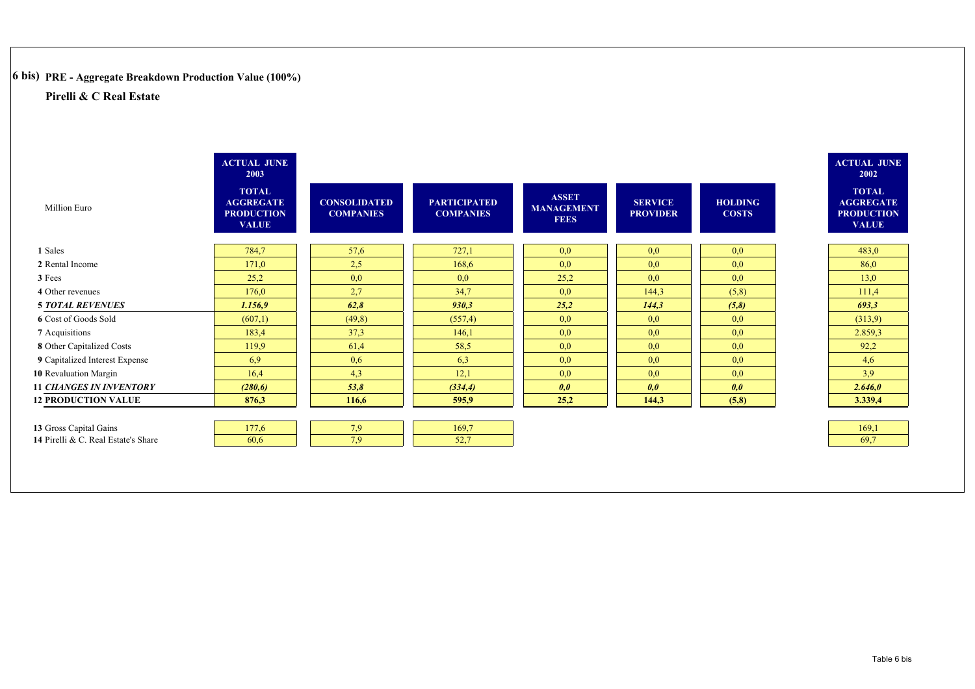# **6 bis) PRE - Aggregate Breakdown Production Value (100%)**

|                                     | <b>ACTUAL JUNE</b><br>2003                                            |                                         |                                         |                                                  |                                   |                                | <b>ACTUAL JUNE</b><br>2002                                            |
|-------------------------------------|-----------------------------------------------------------------------|-----------------------------------------|-----------------------------------------|--------------------------------------------------|-----------------------------------|--------------------------------|-----------------------------------------------------------------------|
| Million Euro                        | <b>TOTAL</b><br><b>AGGREGATE</b><br><b>PRODUCTION</b><br><b>VALUE</b> | <b>CONSOLIDATED</b><br><b>COMPANIES</b> | <b>PARTICIPATED</b><br><b>COMPANIES</b> | <b>ASSET</b><br><b>MANAGEMENT</b><br><b>FEES</b> | <b>SERVICE</b><br><b>PROVIDER</b> | <b>HOLDING</b><br><b>COSTS</b> | <b>TOTAL</b><br><b>AGGREGATE</b><br><b>PRODUCTION</b><br><b>VALUE</b> |
| 1 Sales                             | 784,7                                                                 | 57,6                                    | 727,1                                   | 0,0                                              | 0.0                               | 0,0                            | 483,0                                                                 |
| 2 Rental Income                     | 171,0                                                                 | 2.5                                     | 168,6                                   | 0,0                                              | 0.0                               | 0,0                            | 86,0                                                                  |
| 3 Fees                              | 25,2                                                                  | 0,0                                     | 0,0                                     | 25,2                                             | 0,0                               | 0,0                            | 13,0                                                                  |
| 4 Other revenues                    | 176,0                                                                 | 2,7                                     | 34,7                                    | 0,0                                              | 144,3                             | (5,8)                          | 111,4                                                                 |
| <b>5 TOTAL REVENUES</b>             | 1.156,9                                                               | 62,8                                    | 930,3                                   | 25,2                                             | 144,3                             | (5,8)                          | 693,3                                                                 |
| 6 Cost of Goods Sold                | (607,1)                                                               | (49,8)                                  | (557,4)                                 | 0,0                                              | 0.0                               | 0.0                            | (313.9)                                                               |
| 7 Acquisitions                      | 183,4                                                                 | 37,3                                    | 146,1                                   | 0,0                                              | 0.0                               | 0,0                            | 2.859,3                                                               |
| 8 Other Capitalized Costs           | 119.9                                                                 | 61,4                                    | 58,5                                    | 0,0                                              | 0.0                               | 0,0                            | 92,2                                                                  |
| 9 Capitalized Interest Expense      | 6.9                                                                   | 0,6                                     | 6.3                                     | 0,0                                              | 0.0                               | 0,0                            | 4,6                                                                   |
| 10 Revaluation Margin               | 16,4                                                                  | 4,3                                     | 12,1                                    | 0,0                                              | 0,0                               | 0,0                            | 3,9                                                                   |
| <b>11 CHANGES IN INVENTORY</b>      | (280,6)                                                               | 53,8                                    | (334,4)                                 | 0,0                                              | 0,0                               | 0,0                            | 2.646,0                                                               |
| <b>12 PRODUCTION VALUE</b>          | 876,3                                                                 | 116,6                                   | 595,9                                   | 25,2                                             | 144,3                             | (5,8)                          | 3.339,4                                                               |
|                                     |                                                                       |                                         |                                         |                                                  |                                   |                                |                                                                       |
| 13 Gross Capital Gains              | 177,6                                                                 | 7,9                                     | 169,7                                   |                                                  |                                   |                                | 169,1                                                                 |
| 14 Pirelli & C. Real Estate's Share | 60.6                                                                  | 7,9                                     | 52,7                                    |                                                  |                                   |                                | 69,7                                                                  |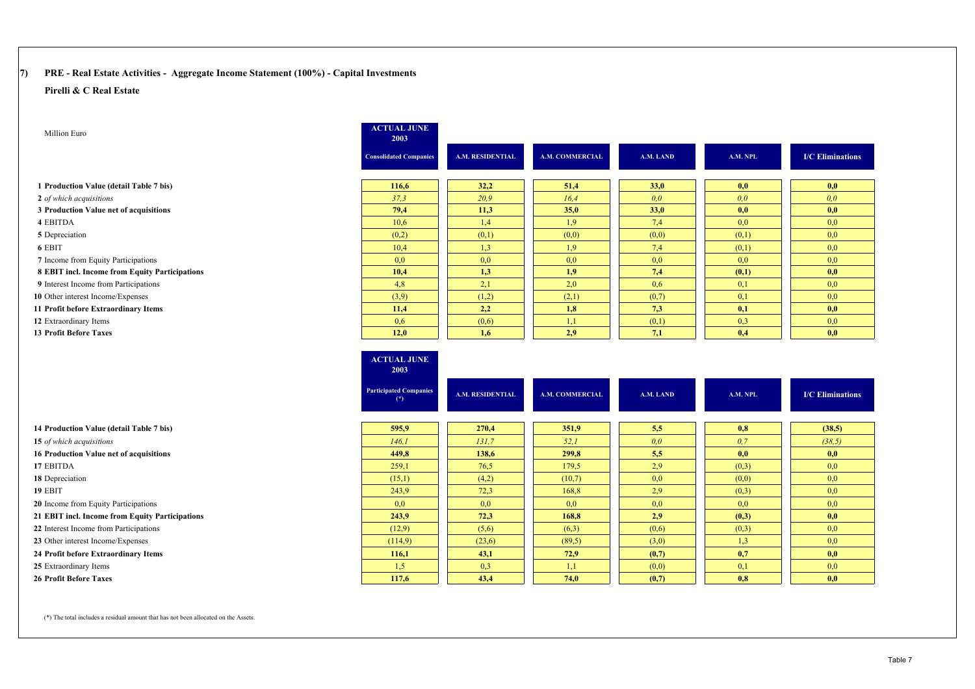# **7) PRE - Real Estate Activities - Aggregate Income Statement (100%) - Capital Investments**

#### **Pirelli & C Real Estate**

| Million Euro                                    | <b>ACTUAL JUNE</b><br>2003             |                         |                        |           |          |                         |
|-------------------------------------------------|----------------------------------------|-------------------------|------------------------|-----------|----------|-------------------------|
|                                                 | <b>Consolidated Companies</b>          | <b>A.M. RESIDENTIAL</b> | <b>A.M. COMMERCIAL</b> | A.M. LAND | A.M. NPL | <b>I/C</b> Eliminations |
| 1 Production Value (detail Table 7 bis)         | 116,6                                  | 32,2                    | 51,4                   | 33,0      | 0,0      | 0,0                     |
| 2 of which acquisitions                         | 37,3                                   | 20,9                    | 16,4                   | 0,0       | 0,0      | 0,0                     |
| 3 Production Value net of acquisitions          | 79,4                                   | 11,3                    | 35,0                   | 33,0      | 0,0      | 0,0                     |
| 4 EBITDA                                        | 10,6                                   | 1,4                     | 1,9                    | 7,4       | 0,0      | 0,0                     |
| 5 Depreciation                                  | (0,2)                                  | (0,1)                   | (0,0)                  | (0,0)     | (0,1)    | 0,0                     |
| 6 EBIT                                          | 10,4                                   | 1,3                     | 1,9                    | 7,4       | (0,1)    | 0,0                     |
| 7 Income from Equity Participations             | 0,0                                    | 0,0                     | 0,0                    | 0.0       | 0,0      | 0,0                     |
| 8 EBIT incl. Income from Equity Participations  | 10,4                                   | 1,3                     | 1,9                    | 7,4       | (0,1)    | 0,0                     |
| 9 Interest Income from Participations           | 4,8                                    | 2,1                     | 2,0                    | 0.6       | 0,1      | 0,0                     |
| 10 Other interest Income/Expenses               | (3,9)                                  | (1,2)                   | (2,1)                  | (0,7)     | 0,1      | 0,0                     |
| 11 Profit before Extraordinary Items            | 11,4                                   | 2,2                     | 1,8                    | 7,3       | 0,1      | 0,0                     |
| 12 Extraordinary Items                          | 0,6                                    | (0,6)                   | 1,1                    | (0,1)     | 0,3      | 0,0                     |
| <b>13 Profit Before Taxes</b>                   | 12,0                                   | 1,6                     | 2,9                    | 7,1       | 0,4      | 0,0                     |
|                                                 | <b>ACTUAL JUNE</b><br>2003             |                         |                        |           |          |                         |
|                                                 | <b>Participated Companies</b><br>$(*)$ | <b>A.M. RESIDENTIAL</b> | <b>A.M. COMMERCIAL</b> | A.M. LAND | A.M. NPL | <b>I/C</b> Eliminations |
| 14 Production Value (detail Table 7 bis)        |                                        |                         |                        |           |          |                         |
|                                                 | 595,9                                  | 270,4                   | 351,9                  | 5,5       | 0,8      | (38,5)                  |
| 15 of which acquisitions                        | 146.1                                  | 131.7                   | 52,1                   | 0,0       | 0,7      | (38.5)                  |
| 16 Production Value net of acquisitions         | 449,8                                  | 138,6                   | 299,8                  | 5,5       | 0,0      | 0,0                     |
| 17 EBITDA                                       | 259,1                                  | 76,5                    | 179,5                  | 2.9       | (0,3)    | 0,0                     |
| 18 Depreciation                                 | (15,1)                                 | (4,2)                   | (10,7)                 | 0.0       | (0,0)    | 0,0                     |
| 19 EBIT                                         | 243,9                                  | 72,3                    | 168,8                  | 2.9       | (0,3)    | 0,0                     |
| 20 Income from Equity Participations            | 0.0                                    | 0,0                     | 0,0                    | 0,0       | 0,0      | 0,0                     |
| 21 EBIT incl. Income from Equity Participations | 243,9                                  | 72,3                    | 168,8                  | 2,9       | (0,3)    | 0,0                     |
| 22 Interest Income from Participations          | (12,9)                                 | (5,6)                   | (6,3)                  | (0,6)     | (0,3)    | 0,0                     |
| 23 Other interest Income/Expenses               | (114,9)                                | (23,6)                  | (89,5)                 | (3,0)     | 1,3      | 0,0                     |
| 24 Profit before Extraordinary Items            | 116,1                                  | 43,1                    | 72,9                   | (0,7)     | 0,7      | 0,0                     |
| 25 Extraordinary Items                          | 1,5                                    | 0,3                     | 1,1                    | (0,0)     | 0,1      | 0,0                     |

(\*) The total includes a residual amount that has not been allocated on the Assets.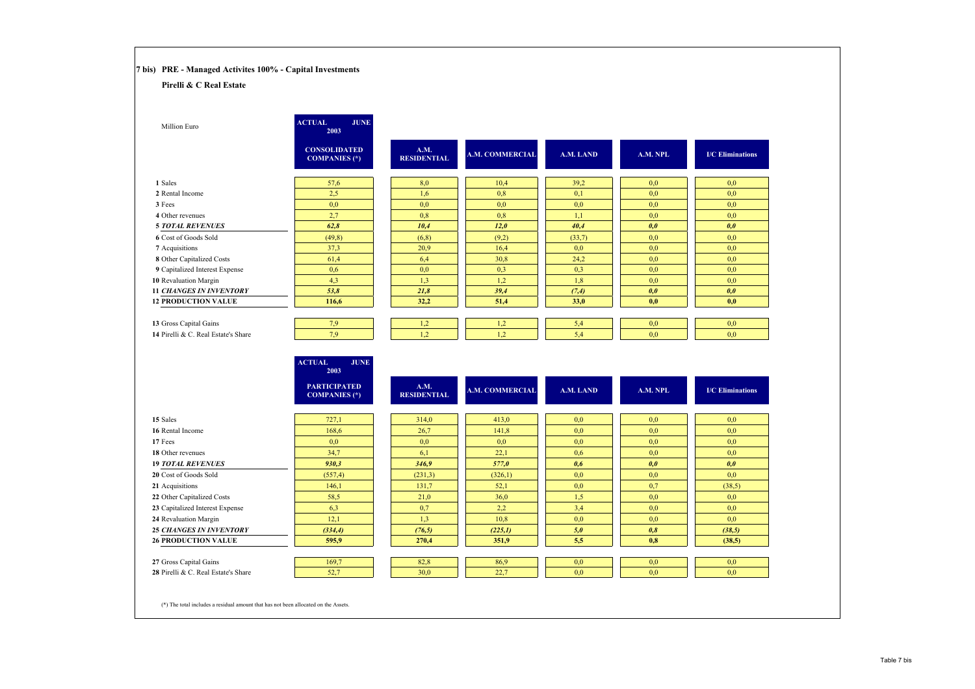| Pirelli & C Real Estate                                                                                                                                                                                                                                                                                                  |                                             |                            |                        |            |            |                                |
|--------------------------------------------------------------------------------------------------------------------------------------------------------------------------------------------------------------------------------------------------------------------------------------------------------------------------|---------------------------------------------|----------------------------|------------------------|------------|------------|--------------------------------|
| Million Euro                                                                                                                                                                                                                                                                                                             | <b>ACTUAL</b><br><b>JUNE</b><br>2003        |                            |                        |            |            |                                |
|                                                                                                                                                                                                                                                                                                                          | <b>CONSOLIDATED</b><br><b>COMPANIES</b> (*) | A.M.<br><b>RESIDENTIAL</b> | A.M. COMMERCIAL        | A.M. LAND  | A.M. NPL   | <b>I/C</b> Eliminations        |
| 1 Sales                                                                                                                                                                                                                                                                                                                  | 57,6                                        | 8,0                        | 10,4                   | 39,2       | 0,0        | 0,0                            |
| 2 Rental Income                                                                                                                                                                                                                                                                                                          | 2,5                                         | 1,6                        | 0,8                    | 0,1        | 0,0        | 0,0                            |
| 3 Fees                                                                                                                                                                                                                                                                                                                   | 0,0                                         | 0,0                        | 0,0                    | 0,0        | 0,0        | 0,0                            |
| 4 Other revenues                                                                                                                                                                                                                                                                                                         | 2,7                                         | 0,8                        | 0,8                    | 1,1        | 0,0        | 0,0                            |
| <b>5 TOTAL REVENUES</b>                                                                                                                                                                                                                                                                                                  | 62,8                                        | 10,4                       | 12,0                   | 40,4       | 0,0        | 0,0                            |
| 6 Cost of Goods Sold                                                                                                                                                                                                                                                                                                     | (49, 8)                                     | (6,8)                      | (9,2)                  | (33,7)     | 0,0        | 0,0                            |
| 7 Acquisitions                                                                                                                                                                                                                                                                                                           | 37,3                                        | 20,9                       | 16,4                   | 0,0        | 0,0        | 0,0                            |
| 8 Other Capitalized Costs                                                                                                                                                                                                                                                                                                | 61,4                                        | 6,4                        | 30,8                   | 24,2       | 0,0        | 0,0                            |
| 9 Capitalized Interest Expense                                                                                                                                                                                                                                                                                           | 0,6                                         | 0,0                        | 0,3                    | 0.3        | 0,0        | 0.0                            |
| 10 Revaluation Margin                                                                                                                                                                                                                                                                                                    | 4,3                                         | 1,3                        | 1,2                    | 1,8        | 0,0        | 0,0                            |
| <b>11 CHANGES IN INVENTORY</b>                                                                                                                                                                                                                                                                                           | 53,8                                        | 21,8                       | 39,4                   | (7, 4)     | 0,0        | 0,0                            |
| <b>12 PRODUCTION VALUE</b>                                                                                                                                                                                                                                                                                               | 116,6                                       | 32,2                       | 51,4                   | 33,0       | 0,0        | 0,0                            |
|                                                                                                                                                                                                                                                                                                                          |                                             |                            |                        |            |            |                                |
| 13 Gross Capital Gains<br>14 Pirelli & C. Real Estate's Share                                                                                                                                                                                                                                                            | 7,9<br>7,9                                  | 1,2<br>1,2                 | 1,2<br>1,2             | 5,4<br>5,4 | 0,0<br>0,0 | 0,0<br>0,0                     |
|                                                                                                                                                                                                                                                                                                                          |                                             |                            |                        |            |            |                                |
|                                                                                                                                                                                                                                                                                                                          | <b>ACTUAL</b><br><b>JUNE</b><br>2003        |                            |                        |            |            |                                |
|                                                                                                                                                                                                                                                                                                                          |                                             |                            |                        |            |            |                                |
|                                                                                                                                                                                                                                                                                                                          | <b>PARTICIPATED</b><br><b>COMPANIES</b> (*) | A.M.<br><b>RESIDENTIAL</b> | <b>A.M. COMMERCIAL</b> | A.M. LAND  | A.M. NPL   |                                |
|                                                                                                                                                                                                                                                                                                                          |                                             |                            |                        |            |            |                                |
|                                                                                                                                                                                                                                                                                                                          | 727,1                                       | 314,0                      | 413,0                  | 0,0        | 0,0        | 0,0                            |
|                                                                                                                                                                                                                                                                                                                          | 168,6                                       | 26,7                       | 141,8                  | 0,0        | 0,0        | 0,0                            |
|                                                                                                                                                                                                                                                                                                                          | 0,0                                         | 0,0                        | 0,0                    | 0,0        | 0,0        | 0,0                            |
|                                                                                                                                                                                                                                                                                                                          | 34,7                                        | 6,1                        | 22,1                   | 0,6        | 0,0        | 0,0                            |
|                                                                                                                                                                                                                                                                                                                          | 930,3                                       | 346,9                      | 577,0                  | 0,6        | 0,0        | 0,0                            |
|                                                                                                                                                                                                                                                                                                                          | (557,4)                                     | (231,3)                    | (326,1)                | 0,0        | 0,0        | 0,0                            |
|                                                                                                                                                                                                                                                                                                                          | 146,1                                       | 131,7                      | 52,1                   | 0,0        | 0,7        | (38,5)                         |
|                                                                                                                                                                                                                                                                                                                          | 58,5                                        | 21,0                       | 36,0                   | 1,5        | 0,0        | 0,0                            |
|                                                                                                                                                                                                                                                                                                                          | 6,3                                         | 0,7                        | 2,2                    | 3,4        | 0,0        | 0,0                            |
|                                                                                                                                                                                                                                                                                                                          | 12,1                                        | 1,3                        | 10,8                   | 0,0        | 0,0        | 0,0                            |
|                                                                                                                                                                                                                                                                                                                          | (334,4)<br>595,9                            | (76, 5)<br>270,4           | (225,1)<br>351,9       | 5,0<br>5,5 | 0,8<br>0,8 | (38, 5)<br>(38,5)              |
| 15 Sales<br>16 Rental Income<br>17 Fees<br>18 Other revenues<br><b>19 TOTAL REVENUES</b><br>20 Cost of Goods Sold<br>21 Acquisitions<br>22 Other Capitalized Costs<br>23 Capitalized Interest Expense<br>24 Revaluation Margin<br><b>25 CHANGES IN INVENTORY</b><br><b>26 PRODUCTION VALUE</b><br>27 Gross Capital Gains | 169,7                                       | 82,8                       | 86,9                   | 0,0        | 0,0        | <b>I/C</b> Eliminations<br>0,0 |

(\*) The total includes a residual amount that has not been allocated on the Assets.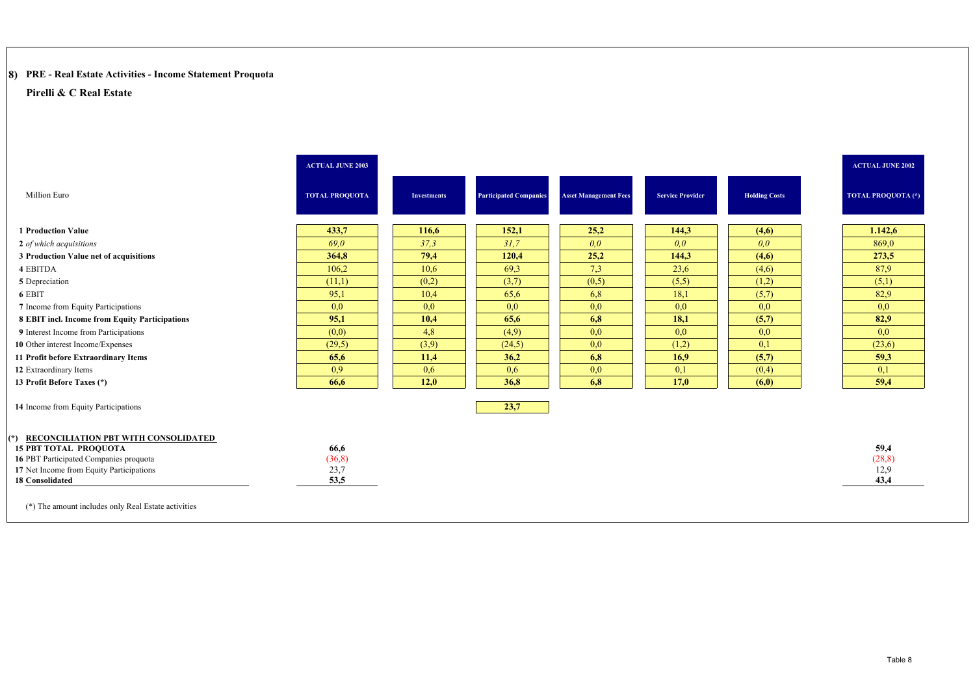# **8) PRE - Real Estate Activities - Income Statement Proquota**

|                                                                                    | <b>ACTUAL JUNE 2003</b> |                    |                               |                              |                         |                      | <b>ACTUAL JUNE 2002</b> |
|------------------------------------------------------------------------------------|-------------------------|--------------------|-------------------------------|------------------------------|-------------------------|----------------------|-------------------------|
| <b>Million Euro</b>                                                                | <b>TOTAL PROQUOTA</b>   | <b>Investments</b> | <b>Participated Companies</b> | <b>Asset Management Fees</b> | <b>Service Provider</b> | <b>Holding Costs</b> | TOTAL PROQUOTA (*)      |
| <b>1 Production Value</b>                                                          | 433,7                   | 116,6              | 152,1                         | 25,2                         | 144,3                   | (4,6)                | 1.142,6                 |
| 2 of which acquisitions                                                            | 69,0                    | 37,3               | 31,7                          | 0,0                          | 0,0                     | 0,0                  | 869,0                   |
| 3 Production Value net of acquisitions                                             | 364,8                   | 79,4               | 120,4                         | 25,2                         | 144,3                   | (4,6)                | 273,5                   |
| 4 EBITDA                                                                           | 106,2                   | 10,6               | 69,3                          | 7,3                          | 23,6                    | (4,6)                | 87,9                    |
| 5 Depreciation                                                                     | (11,1)                  | (0,2)              | (3,7)                         | (0,5)                        | (5,5)                   | (1,2)                | (5,1)                   |
| 6 EBIT                                                                             | 95.1                    | 10,4               | 65.6                          | 6,8                          | 18,1                    | (5,7)                | 82,9                    |
| 7 Income from Equity Participations                                                | 0,0                     | 0,0                | 0,0                           | 0,0                          | 0,0                     | 0,0                  | 0,0                     |
| 8 EBIT incl. Income from Equity Participations                                     | 95,1                    | 10,4               | 65,6                          | 6,8                          | 18,1                    | (5,7)                | 82,9                    |
| 9 Interest Income from Participations                                              | (0,0)                   | 4,8                | (4,9)                         | 0.0                          | 0,0                     | 0,0                  | 0,0                     |
| 10 Other interest Income/Expenses                                                  | (29,5)                  | (3,9)              | (24,5)                        | 0,0                          | (1,2)                   | 0,1                  | (23,6)                  |
| 11 Profit before Extraordinary Items                                               | 65,6                    | 11,4               | 36,2                          | 6,8                          | 16,9                    | (5,7)                | 59,3                    |
| 12 Extraordinary Items                                                             | 0.9                     | 0.6                | 0,6                           | 0.0                          | 0,1                     | (0,4)                | 0,1                     |
| 13 Profit Before Taxes (*)                                                         | 66,6                    | 12,0               | 36,8                          | 6,8                          | 17,0                    | (6,0)                | 59,4                    |
| 14 Income from Equity Participations                                               |                         |                    | 23,7                          |                              |                         |                      |                         |
|                                                                                    |                         |                    |                               |                              |                         |                      |                         |
| (*) RECONCILIATION PBT WITH CONSOLIDATED                                           |                         |                    |                               |                              |                         |                      |                         |
| <b>15 PBT TOTAL PROQUOTA</b>                                                       | 66,6                    |                    |                               |                              |                         |                      | 59,4                    |
| 16 PBT Participated Companies proquota<br>17 Net Income from Equity Participations | (36, 8)<br>23,7         |                    |                               |                              |                         |                      | (28, 8)<br>12,9         |
| <b>18 Consolidated</b>                                                             | 53,5                    |                    |                               |                              |                         |                      | 43,4                    |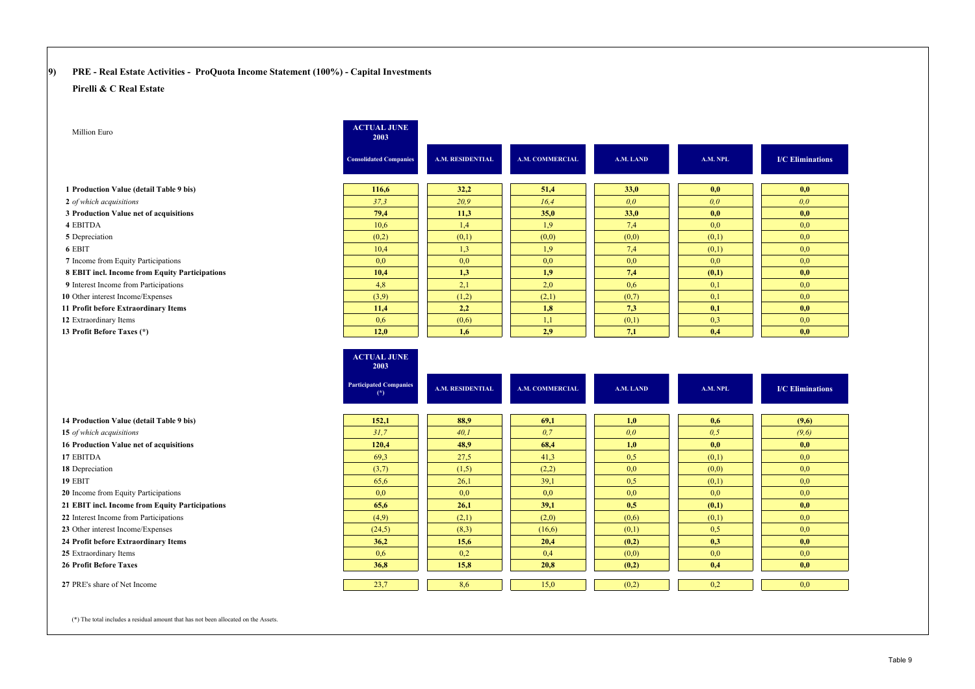### **9) PRE - Real Estate Activities - ProQuota Income Statement (100%) - Capital Investments**

#### **Pirelli & C Real Estate**

| Million Euro                                    | <b>ACTUAL JUNE</b><br>2003                  |                  |                        |           |          |                         |
|-------------------------------------------------|---------------------------------------------|------------------|------------------------|-----------|----------|-------------------------|
|                                                 | <b>Consolidated Companies</b>               | A.M. RESIDENTIAL | <b>A.M. COMMERCIAL</b> | A.M. LAND | A.M. NPL | <b>I/C</b> Eliminations |
| 1 Production Value (detail Table 9 bis)         | 116,6                                       | 32,2             | 51,4                   | 33,0      | 0,0      | 0,0                     |
| 2 of which acquisitions                         | 37,3                                        | 20,9             | 16,4                   | 0.0       | 0,0      | 0.0                     |
| 3 Production Value net of acquisitions          | 79,4                                        | 11,3             | 35,0                   | 33,0      | 0,0      | 0,0                     |
| 4 EBITDA                                        | 10,6                                        | 1,4              | 1,9                    | 7,4       | 0,0      | 0,0                     |
| 5 Depreciation                                  | (0,2)                                       | (0,1)            | (0,0)                  | (0,0)     | (0,1)    | 0.0                     |
| 6 EBIT                                          | 10,4                                        | 1,3              | 1,9                    | 7,4       | (0,1)    | 0,0                     |
| 7 Income from Equity Participations             | 0,0                                         | 0,0              | 0,0                    | 0,0       | 0.0      | 0,0                     |
| 8 EBIT incl. Income from Equity Participations  | 10,4                                        | 1,3              | 1,9                    | 7,4       | (0,1)    | 0,0                     |
| 9 Interest Income from Participations           | 4,8                                         | 2,1              | 2,0                    | 0.6       | 0,1      | 0,0                     |
| 10 Other interest Income/Expenses               | (3,9)                                       | (1,2)            | (2,1)                  | (0,7)     | 0,1      | 0,0                     |
| 11 Profit before Extraordinary Items            | 11,4                                        | 2,2              | 1,8                    | 7,3       | 0,1      | 0,0                     |
| 12 Extraordinary Items                          | 0.6                                         | (0,6)            | 1,1                    | (0,1)     | 0,3      | 0,0                     |
| 13 Profit Before Taxes (*)                      | 12,0                                        | 1,6              | 2,9                    | 7,1       | 0,4      | 0,0                     |
|                                                 | <b>ACTUAL JUNE</b><br>2003                  |                  |                        |           |          |                         |
|                                                 | <b>Participated Companies</b><br>$^{\circ}$ | A.M. RESIDENTIAL | A.M. COMMERCIAL        | A.M. LAND | A.M. NPL | <b>I/C</b> Eliminations |
| 14 Production Value (detail Table 9 bis)        | 152,1                                       | 88,9             | 69,1                   | 1,0       | 0,6      | (9,6)                   |
| 15 of which acquisitions                        | 31,7                                        | 40.1             | 0.7                    | 0.0       | 0.5      | (9,6)                   |
| 16 Production Value net of acquisitions         | 120,4                                       | 48,9             | 68,4                   | 1,0       | 0,0      | 0,0                     |
| 17 EBITDA                                       | 69,3                                        | 27,5             | 41,3                   | 0,5       | (0,1)    | 0,0                     |
| 18 Depreciation                                 | (3,7)                                       | (1,5)            | (2,2)                  | 0,0       | (0,0)    | 0,0                     |
| 19 EBIT                                         | 65,6                                        | 26,1             | 39,1                   | 0,5       | (0,1)    | 0,0                     |
| 20 Income from Equity Participations            | 0,0                                         | 0,0              | 0,0                    | 0,0       | 0.0      | 0.0                     |
| 21 EBIT incl. Income from Equity Participations | 65,6                                        | 26,1             | 39,1                   | 0,5       | (0,1)    | 0,0                     |
| 22 Interest Income from Participations          | (4,9)                                       | (2,1)            | (2,0)                  | (0,6)     | (0,1)    | 0,0                     |
| 23 Other interest Income/Expenses               | (24,5)                                      | (8,3)            | (16,6)                 | (0,1)     | 0.5      | 0,0                     |

**24 Profit before Extraordinary Items 36,2 15,6 20,4 (0,2) 0,3 0,0**

25 Extraordinary Items Extraordinary Items 0,6 0,2 0,4 (0,0) 0,0 0,0

**26 Profit Before Taxes 36,8 15,8 20,8 (0,2) 0,4 0,0**

**27** PRE's share of Net Income 23,7 23,7 2000 1 23,7 2000 1 23,7 2000 1 23,8 0 2000 1 23,0 0,2 0,2

(\*) The total includes a residual amount that has not been allocated on the Assets.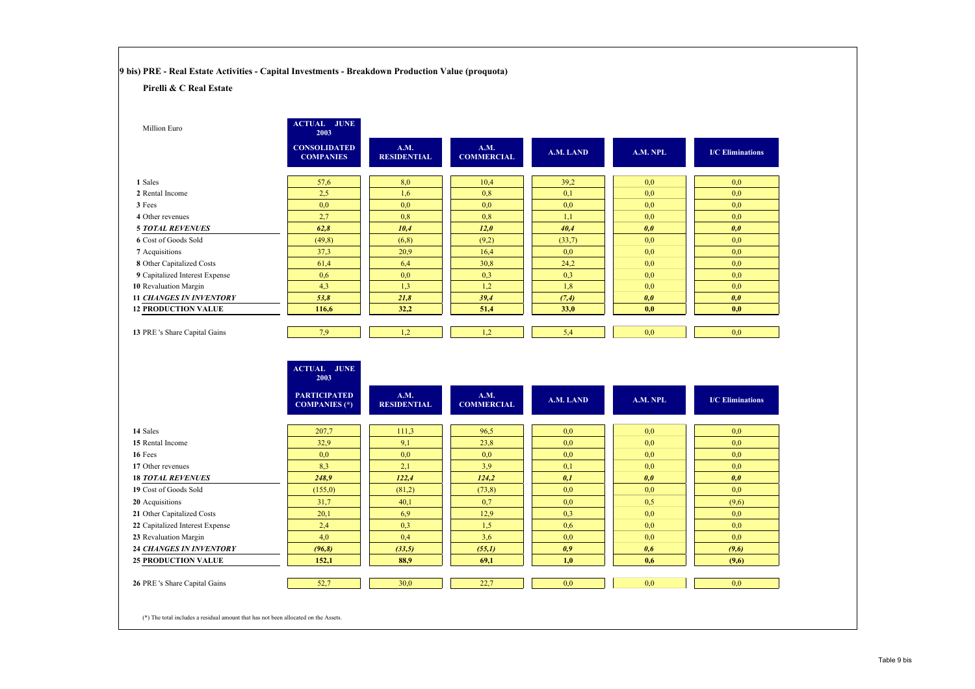**9 bis) PRE - Real Estate Activities - Capital Investments - Breakdown Production Value (proquota)**

**ACTUAL JUNE** 

#### **Pirelli & C Real Estate**

| Million Euro                   | <b>ACTUAL JUNE</b><br>2003              |                            |                           |           |          |                         |
|--------------------------------|-----------------------------------------|----------------------------|---------------------------|-----------|----------|-------------------------|
|                                | <b>CONSOLIDATED</b><br><b>COMPANIES</b> | A.M.<br><b>RESIDENTIAL</b> | A.M.<br><b>COMMERCIAL</b> | A.M. LAND | A.M. NPL | <b>I/C</b> Eliminations |
| 1 Sales                        | 57,6                                    | 8,0                        | 10,4                      | 39,2      | 0,0      | 0,0                     |
| 2 Rental Income                | 2.5                                     | 1,6                        | 0,8                       | 0,1       | 0,0      | 0,0                     |
| 3 Fees                         | 0,0                                     | 0,0                        | 0,0                       | 0,0       | 0,0      | 0,0                     |
| 4 Other revenues               | 2,7                                     | 0,8                        | 0,8                       | 1,1       | 0,0      | 0,0                     |
| <b>5 TOTAL REVENUES</b>        | 62,8                                    | 10,4                       | 12,0                      | 40,4      | 0,0      | 0,0                     |
| 6 Cost of Goods Sold           | (49,8)                                  | (6,8)                      | (9,2)                     | (33,7)    | 0,0      | 0,0                     |
| 7 Acquisitions                 | 37,3                                    | 20,9                       | 16,4                      | 0,0       | 0,0      | 0,0                     |
| 8 Other Capitalized Costs      | 61,4                                    | 6,4                        | 30,8                      | 24,2      | 0,0      | 0,0                     |
| 9 Capitalized Interest Expense | 0,6                                     | 0,0                        | 0,3                       | 0,3       | 0,0      | 0,0                     |
| 10 Revaluation Margin          | 4,3                                     | 1,3                        | 1,2                       | 1,8       | 0,0      | 0.0                     |
| <b>11 CHANGES IN INVENTORY</b> | 53,8                                    | 21,8                       | 39,4                      | (7,4)     | 0,0      | 0,0                     |
| <b>12 PRODUCTION VALUE</b>     | 116,6                                   | 32,2                       | 51,4                      | 33,0      | 0,0      | 0,0                     |
|                                |                                         |                            |                           |           |          |                         |
| 13 PRE 's Share Capital Gains  | 7,9                                     | 1,2                        | 1,2                       | 5,4       | 0,0      | 0,0                     |
|                                |                                         |                            |                           |           |          |                         |
|                                |                                         |                            |                           |           |          |                         |

|                                 | AUTUAL JUNE<br>2003                         |                            |                           |           |          |                         |
|---------------------------------|---------------------------------------------|----------------------------|---------------------------|-----------|----------|-------------------------|
|                                 | <b>PARTICIPATED</b><br><b>COMPANIES</b> (*) | A.M.<br><b>RESIDENTIAL</b> | A.M.<br><b>COMMERCIAL</b> | A.M. LAND | A.M. NPL | <b>I/C</b> Eliminations |
| 14 Sales                        | 207,7                                       | 111,3                      | 96,5                      | 0,0       | 0.0      | 0,0                     |
| 15 Rental Income                | 32,9                                        | 9,1                        | 23,8                      | 0,0       | 0,0      | 0,0                     |
| 16 Fees                         | 0,0                                         | 0,0                        | 0,0                       | 0,0       | 0.0      | 0,0                     |
| 17 Other revenues               | 8,3                                         | 2,1                        | 3.9                       | 0,1       | 0.0      | 0,0                     |
| <b>18 TOTAL REVENUES</b>        | 248,9                                       | 122,4                      | 124,2                     | 0,1       | 0,0      | 0,0                     |
| 19 Cost of Goods Sold           | (155,0)                                     | (81,2)                     | (73,8)                    | 0,0       | 0.0      | 0,0                     |
| 20 Acquisitions                 | 31,7                                        | 40,1                       | 0,7                       | 0,0       | 0,5      | (9,6)                   |
| 21 Other Capitalized Costs      | 20,1                                        | 6,9                        | 12,9                      | 0,3       | 0.0      | 0,0                     |
| 22 Capitalized Interest Expense | 2,4                                         | 0,3                        | 1,5                       | 0.6       | 0.0      | 0,0                     |
| 23 Revaluation Margin           | 4,0                                         | 0,4                        | 3,6                       | 0,0       | 0.0      | 0,0                     |
| <b>24 CHANGES IN INVENTORY</b>  | (96, 8)                                     | (33,5)                     | (55,1)                    | 0,9       | 0,6      | (9,6)                   |
| <b>25 PRODUCTION VALUE</b>      | 152,1                                       | 88,9                       | 69,1                      | 1,0       | 0,6      | (9,6)                   |
|                                 |                                             |                            |                           |           |          |                         |
| 26 PRE's Share Capital Gains    | 52,7                                        | 30,0                       | 22,7                      | 0,0       | 0,0      | 0,0                     |
|                                 |                                             |                            |                           |           |          |                         |
|                                 |                                             |                            |                           |           |          |                         |

(\*) The total includes a residual amount that has not been allocated on the Assets.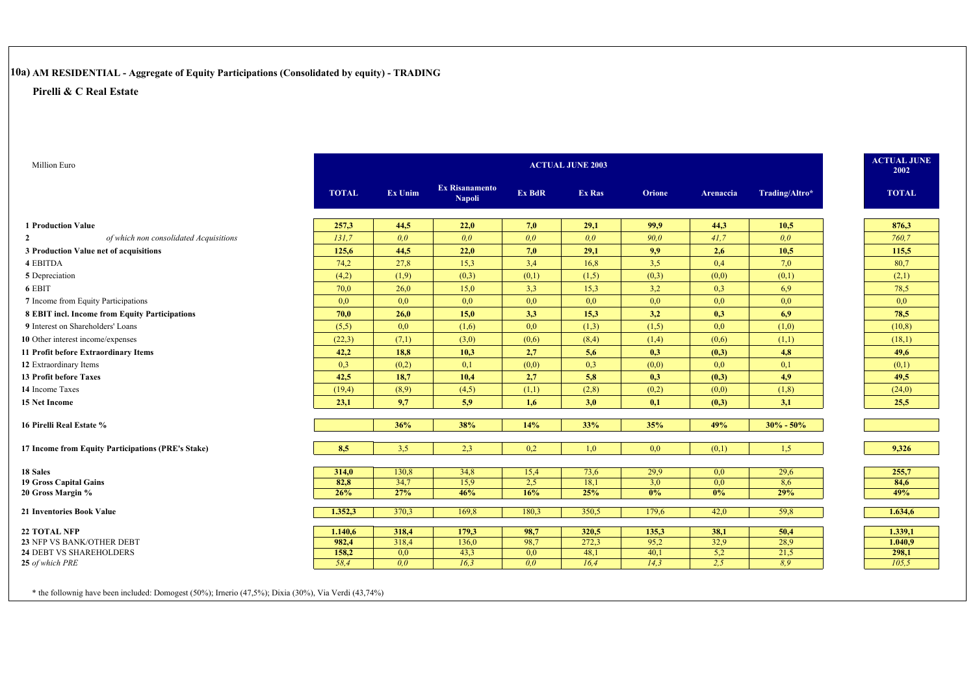# **10a) AM RESIDENTIAL - Aggregate of Equity Participations (Consolidated by equity) - TRADING**

#### **Pirelli & C Real Estate**

| Million Euro                                       |              |         |                                        |        | <b>ACTUAL JUNE 2003</b> |        |           |                | <b>ACTUAL JUNE</b> | 2002         |
|----------------------------------------------------|--------------|---------|----------------------------------------|--------|-------------------------|--------|-----------|----------------|--------------------|--------------|
|                                                    | <b>TOTAL</b> | Ex Unim | <b>Ex Risanamento</b><br><b>Napoli</b> | Ex BdR | <b>Ex Ras</b>           | Orione | Arenaccia | Trading/Altro* |                    | <b>TOTAL</b> |
| <b>1 Production Value</b>                          | 257,3        | 44,5    | 22,0                                   | 7,0    | 29,1                    | 99,9   | 44,3      | 10,5           |                    | 876,3        |
| of which non consolidated Acquisitions             | 131.7        | 0.0     | 0.0                                    | 0,0    | 0.0 <sub>0</sub>        | 90.0   | 41,7      | 0.0            |                    | 760,7        |
| 3 Production Value net of acquisitions             | 125,6        | 44,5    | 22,0                                   | 7,0    | 29,1                    | 9,9    | 2,6       | 10,5           |                    | 115,5        |
| 4 EBITDA                                           | 74,2         | 27,8    | 15,3                                   | 3,4    | 16,8                    | 3,5    | 0,4       | 7,0            |                    | 80,7         |
| 5 Depreciation                                     | (4,2)        | (1,9)   | (0,3)                                  | (0,1)  | (1,5)                   | (0,3)  | (0,0)     | (0,1)          |                    | (2,1)        |
| 6 EBIT                                             | 70,0         | 26,0    | 15,0                                   | 3,3    | 15,3                    | 3,2    | 0,3       | 6,9            |                    | 78,5         |
| 7 Income from Equity Participations                | 0,0          | 0,0     | 0,0                                    | 0,0    | 0,0                     | 0,0    | 0,0       | 0,0            |                    | 0,0          |
| 8 EBIT incl. Income from Equity Participations     | 70,0         | 26,0    | 15,0                                   | 3,3    | 15,3                    | 3,2    | 0,3       | 6,9            |                    | 78,5         |
| 9 Interest on Shareholders' Loans                  | (5,5)        | 0,0     | (1,6)                                  | 0,0    | (1,3)                   | (1,5)  | 0,0       | (1,0)          |                    | (10, 8)      |
| 10 Other interest income/expenses                  | (22,3)       | (7,1)   | (3,0)                                  | (0,6)  | (8,4)                   | (1,4)  | (0,6)     | (1,1)          |                    | (18,1)       |
| 11 Profit before Extraordinary Items               | 42,2         | 18,8    | 10,3                                   | 2,7    | 5,6                     | 0,3    | (0,3)     | 4,8            |                    | 49,6         |
| 12 Extraordinary Items                             | 0,3          | (0,2)   | 0,1                                    | (0,0)  | 0,3                     | (0,0)  | 0,0       | 0,1            |                    | (0,1)        |
| <b>13 Profit before Taxes</b>                      | 42,5         | 18,7    | 10,4                                   | 2,7    | 5,8                     | 0,3    | (0,3)     | 4,9            |                    | 49,5         |
| 14 Income Taxes                                    | (19,4)       | (8,9)   | (4,5)                                  | (1,1)  | (2,8)                   | (0,2)  | (0,0)     | (1,8)          |                    | (24,0)       |
| 15 Net Income                                      | 23,1         | 9,7     | 5,9                                    | 1,6    | 3,0                     | 0,1    | (0,3)     | 3,1            |                    | 25,5         |
| 16 Pirelli Real Estate %                           |              | 36%     | 38%                                    | 14%    | 33%                     | 35%    | 49%       | $30\% - 50\%$  |                    |              |
| 17 Income from Equity Participations (PRE's Stake) | 8,5          | 3,5     | 2,3                                    | 0,2    | 1,0                     | 0,0    | (0,1)     | 1,5            |                    | 9,326        |
| 18 Sales                                           | 314,0        | 130,8   | 34,8                                   | 15,4   | 73,6                    | 29,9   | 0,0       | 29,6           |                    | 255,7        |
| 19 Gross Capital Gains                             | 82,8         | 34,7    | 15,9                                   | 2,5    | 18,1                    | 3,0    | 0,0       | 8,6            |                    | 84,6         |
| 20 Gross Margin %                                  | 26%          | 27%     | 46%                                    | 16%    | 25%                     | 0%     | $0\%$     | 29%            |                    | 49%          |
| 21 Inventories Book Value                          | 1.352,3      | 370,3   | 169,8                                  | 180,3  | 350,5                   | 179,6  | 42,0      | 59,8           |                    | 1.634,6      |
| <b>22 TOTAL NFP</b>                                | 1.140,6      | 318,4   | 179,3                                  | 98,7   | 320,5                   | 135,3  | 38,1      | 50,4           |                    | 1.339,1      |
| 23 NFP VS BANK/OTHER DEBT                          | 982,4        | 318,4   | 136,0                                  | 98,7   | 272,3                   | 95,2   | 32,9      | 28,9           |                    | 1.040,9      |
| 24 DEBT VS SHAREHOLDERS                            | 158,2        | 0,0     | 43,3                                   | 0,0    | 48,1                    | 40,1   | 5,2       | 21,5           |                    | 298,1        |
| 25 of which PRE                                    | 58.4         | 0.0     | 16,3                                   | 0,0    | 16,4                    | 14.3   | 2,5       | 8.9            |                    | 105,5        |

\* the follownig have been included: Domogest (50%); Irnerio (47,5%); Dixia (30%), Via Verdi (43,74%)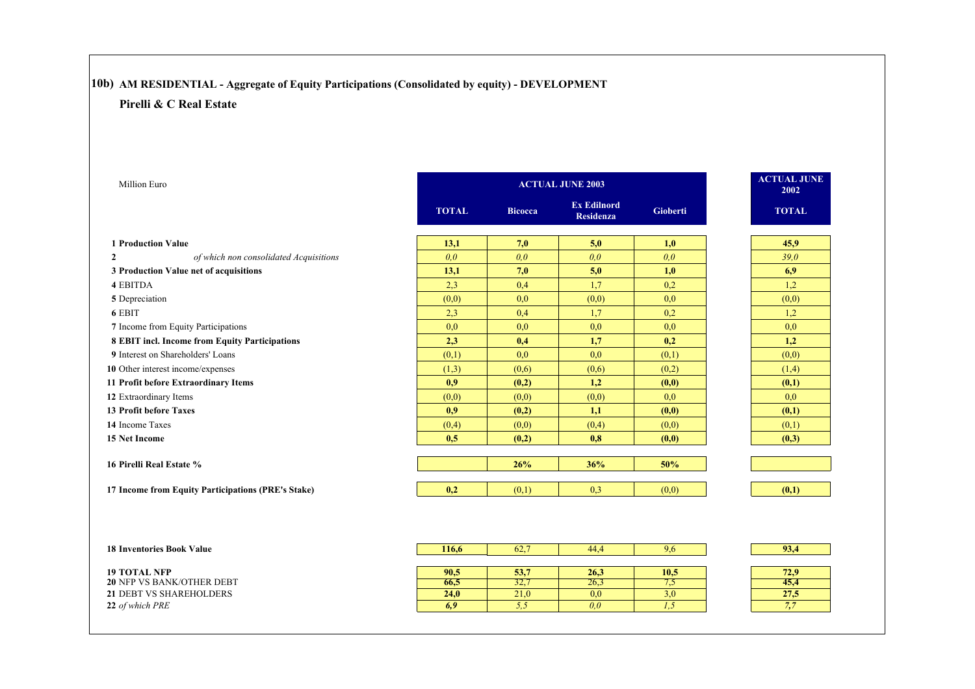# **10b) AM RESIDENTIAL - Aggregate of Equity Participations (Consolidated by equity) - DEVELOPMENT**

| <b>Million Euro</b>                                      |              |                | <b>ACTUAL JUNE 2003</b>                |                  | <b>ACTUAL JUNE</b><br>2002 |
|----------------------------------------------------------|--------------|----------------|----------------------------------------|------------------|----------------------------|
|                                                          | <b>TOTAL</b> | <b>Bicocca</b> | <b>Ex Edilnord</b><br><b>Residenza</b> | <b>Gioberti</b>  | <b>TOTAL</b>               |
| <b>1 Production Value</b>                                | 13,1         | 7,0            | 5,0                                    | 1,0              | 45,9                       |
| of which non consolidated Acquisitions<br>$\overline{2}$ | 0,0          | 0,0            | 0,0                                    | 0,0              | 39,0                       |
| 3 Production Value net of acquisitions                   | 13,1         | 7,0            | 5,0                                    | 1,0              | 6,9                        |
| <b>4 EBITDA</b>                                          | 2,3          | 0,4            | 1.7                                    | 0,2              | 1,2                        |
| 5 Depreciation                                           | (0,0)        | 0,0            | (0,0)                                  | 0,0              | (0,0)                      |
| 6 EBIT                                                   | 2,3          | 0,4            | 1,7                                    | 0,2              | 1,2                        |
| 7 Income from Equity Participations                      | 0,0          | 0.0            | 0,0                                    | 0,0              | 0,0                        |
| 8 EBIT incl. Income from Equity Participations           | 2,3          | 0,4            | 1,7                                    | 0,2              | 1,2                        |
| 9 Interest on Shareholders' Loans                        | (0,1)        | 0.0            | 0.0                                    | (0,1)            | (0,0)                      |
| 10 Other interest income/expenses                        | (1,3)        | (0,6)          | (0,6)                                  | (0,2)            | (1,4)                      |
| 11 Profit before Extraordinary Items                     | 0.9          | (0,2)          | 1,2                                    | (0,0)            | (0,1)                      |
| 12 Extraordinary Items                                   | (0,0)        | (0,0)          | (0,0)                                  | 0,0              | 0,0                        |
| <b>13 Profit before Taxes</b>                            | 0.9          | (0,2)          | 1,1                                    | (0,0)            | (0,1)                      |
| 14 Income Taxes                                          | (0,4)        | (0,0)          | (0,4)                                  | (0,0)            | (0,1)                      |
| <b>15 Net Income</b>                                     | 0.5          | (0,2)          | 0,8                                    | (0,0)            | (0,3)                      |
| 16 Pirelli Real Estate %                                 |              | 26%            | 36%                                    | 50%              |                            |
| 17 Income from Equity Participations (PRE's Stake)       | 0,2          | (0,1)          | 0,3                                    | (0,0)            | (0,1)                      |
|                                                          |              |                |                                        |                  |                            |
| <b>18 Inventories Book Value</b>                         | 116,6        | 62,7           | 44,4                                   | 9,6              | 93,4                       |
| <b>19 TOTAL NFP</b>                                      | 90,5         | 53,7           | 26,3                                   | 10,5             | 72,9                       |
| 20 NFP VS BANK/OTHER DEBT                                | 66,5         | 32,7           | 26,3                                   | 7,5              | 45,4                       |
| <b>21 DEBT VS SHAREHOLDERS</b>                           | 24,0         | 21,0           | $\overline{0,0}$                       | $\overline{3,0}$ | 27,5                       |
| 22 of which PRE                                          | 6,9          | 5, 5           | 0,0                                    | 1,5              | 7,7                        |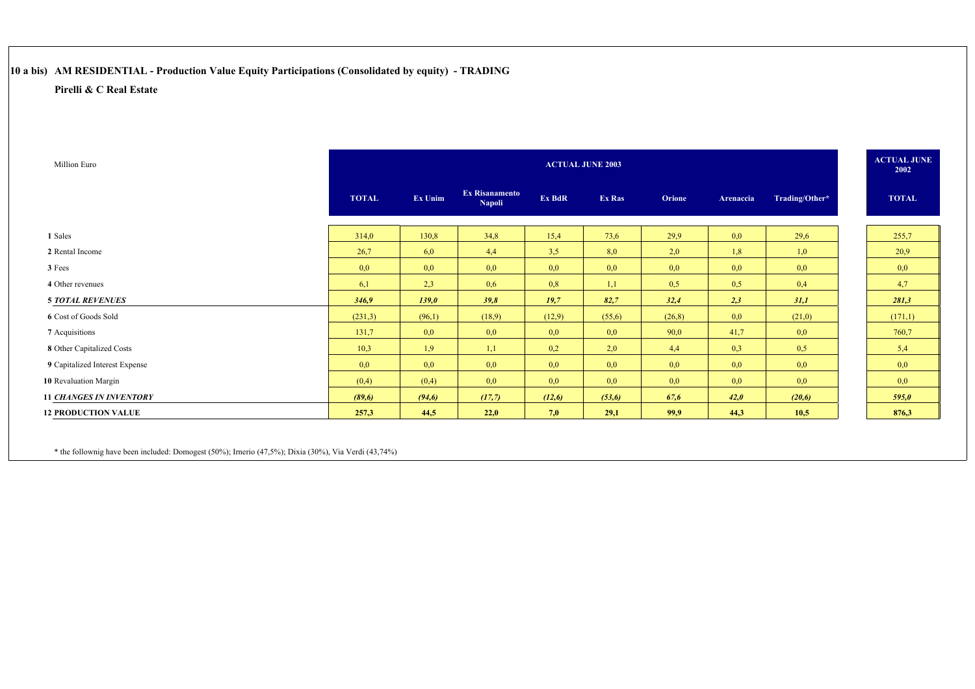# **10 a bis) AM RESIDENTIAL - Production Value Equity Participations (Consolidated by equity) - TRADING**

### **Pirelli & C Real Estate**

| Million Euro                   |              |         |                                        |        | <b>ACTUAL JUNE 2003</b> |               |           |                | <b>ACTUAL JUNE</b><br>2002 |
|--------------------------------|--------------|---------|----------------------------------------|--------|-------------------------|---------------|-----------|----------------|----------------------------|
|                                | <b>TOTAL</b> | Ex Unim | <b>Ex Risanamento</b><br><b>Napoli</b> | Ex BdR | Ex Ras                  | <b>Orione</b> | Arenaccia | Trading/Other* | <b>TOTAL</b>               |
|                                |              |         |                                        |        |                         |               |           |                |                            |
| 1 Sales                        | 314,0        | 130,8   | 34,8                                   | 15,4   | 73,6                    | 29.9          | 0,0       | 29,6           | 255,7                      |
| 2 Rental Income                | 26,7         | 6,0     | 4,4                                    | 3,5    | 8,0                     | 2,0           | 1,8       | 1,0            | 20,9                       |
| 3 Fees                         | 0,0          | 0,0     | 0,0                                    | 0,0    | 0,0                     | 0,0           | 0,0       | 0,0            | 0,0                        |
| 4 Other revenues               | 6,1          | 2,3     | 0,6                                    | 0,8    | 1,1                     | 0,5           | 0,5       | 0,4            | 4,7                        |
| <b>5 TOTAL REVENUES</b>        | 346,9        | 139,0   | 39,8                                   | 19,7   | 82,7                    | 32,4          | 2,3       | 31,1           | 281,3                      |
| 6 Cost of Goods Sold           | (231,3)      | (96,1)  | (18,9)                                 | (12,9) | (55,6)                  | (26,8)        | 0,0       | (21,0)         | (171,1)                    |
| 7 Acquisitions                 | 131,7        | 0,0     | 0,0                                    | 0,0    | 0,0                     | 90,0          | 41,7      | 0,0            | 760,7                      |
| 8 Other Capitalized Costs      | 10,3         | 1,9     | 1,1                                    | 0,2    | 2,0                     | 4,4           | 0,3       | 0,5            | 5,4                        |
| 9 Capitalized Interest Expense | 0,0          | 0,0     | 0,0                                    | 0,0    | 0,0                     | 0,0           | 0,0       | 0,0            | 0,0                        |
| 10 Revaluation Margin          | (0,4)        | (0,4)   | 0,0                                    | 0,0    | 0,0                     | 0,0           | 0,0       | 0,0            | 0,0                        |
| <b>11 CHANGES IN INVENTORY</b> | (89,6)       | (94,6)  | (17,7)                                 | (12,6) | (53,6)                  | 67,6          | 42,0      | (20,6)         | 595,0                      |
| <b>12 PRODUCTION VALUE</b>     | 257,3        | 44,5    | 22,0                                   | 7,0    | 29,1                    | 99,9          | 44,3      | 10,5           | 876,3                      |

\* the follownig have been included: Domogest (50%); Irnerio (47,5%); Dixia (30%), Via Verdi (43,74%)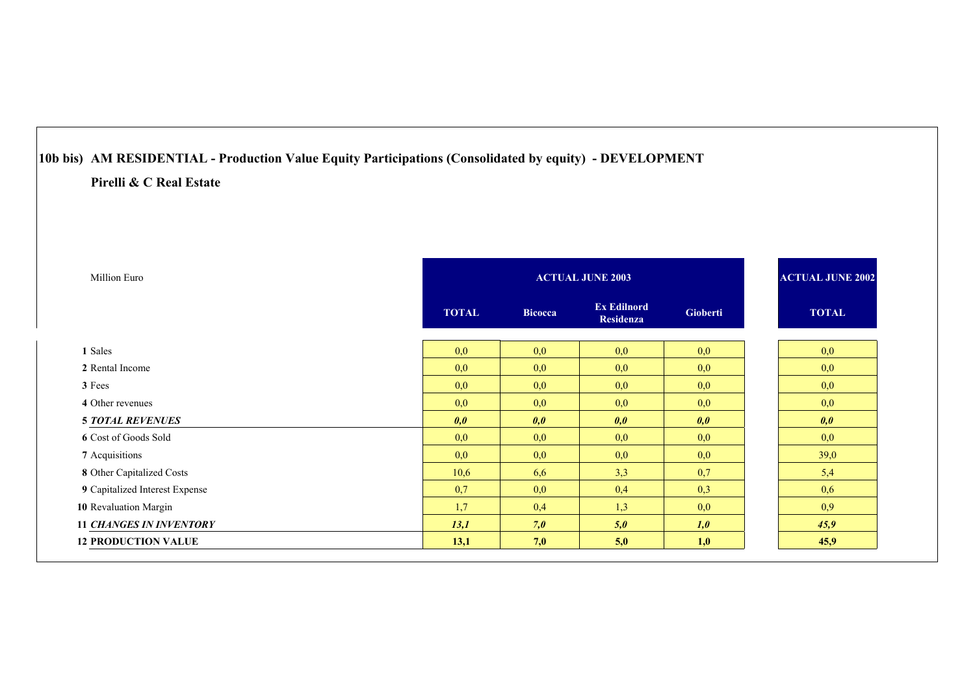# **10b bis) AM RESIDENTIAL - Production Value Equity Participations (Consolidated by equity) - DEVELOPMENT Pirelli & C Real Estate**

| Million Euro                   |              |                | <b>ACTUAL JUNE 2003</b>                |                 | <b>ACTUAL JUNE 2002</b> |
|--------------------------------|--------------|----------------|----------------------------------------|-----------------|-------------------------|
|                                | <b>TOTAL</b> | <b>Bicocca</b> | <b>Ex Edilnord</b><br><b>Residenza</b> | <b>Gioberti</b> | <b>TOTAL</b>            |
| 1 Sales                        | 0,0          | 0,0            | 0,0                                    | 0,0             | 0,0                     |
| 2 Rental Income                | 0,0          | 0,0            | 0,0                                    | 0,0             | 0,0                     |
| 3 Fees                         | 0,0          | 0,0            | 0,0                                    | 0,0             | 0,0                     |
| 4 Other revenues               | 0,0          | 0,0            | 0,0                                    | 0,0             | 0,0                     |
| <b>5 TOTAL REVENUES</b>        | 0,0          | 0,0            | 0,0                                    | 0,0             | 0,0                     |
| 6 Cost of Goods Sold           | 0,0          | 0,0            | 0,0                                    | 0,0             | 0,0                     |
| 7 Acquisitions                 | 0,0          | 0,0            | 0,0                                    | 0,0             | 39,0                    |
| 8 Other Capitalized Costs      | 10,6         | 6,6            | 3,3                                    | 0,7             | 5,4                     |
| 9 Capitalized Interest Expense | 0,7          | 0,0            | 0,4                                    | 0,3             | 0,6                     |
| 10 Revaluation Margin          | 1,7          | 0,4            | 1,3                                    | 0,0             | 0,9                     |
| <b>11 CHANGES IN INVENTORY</b> | 13,1         | 7,0            | 5,0                                    | 1,0             | 45,9                    |
| <b>12 PRODUCTION VALUE</b>     | 13,1         | 7,0            | 5,0                                    | 1,0             | 45,9                    |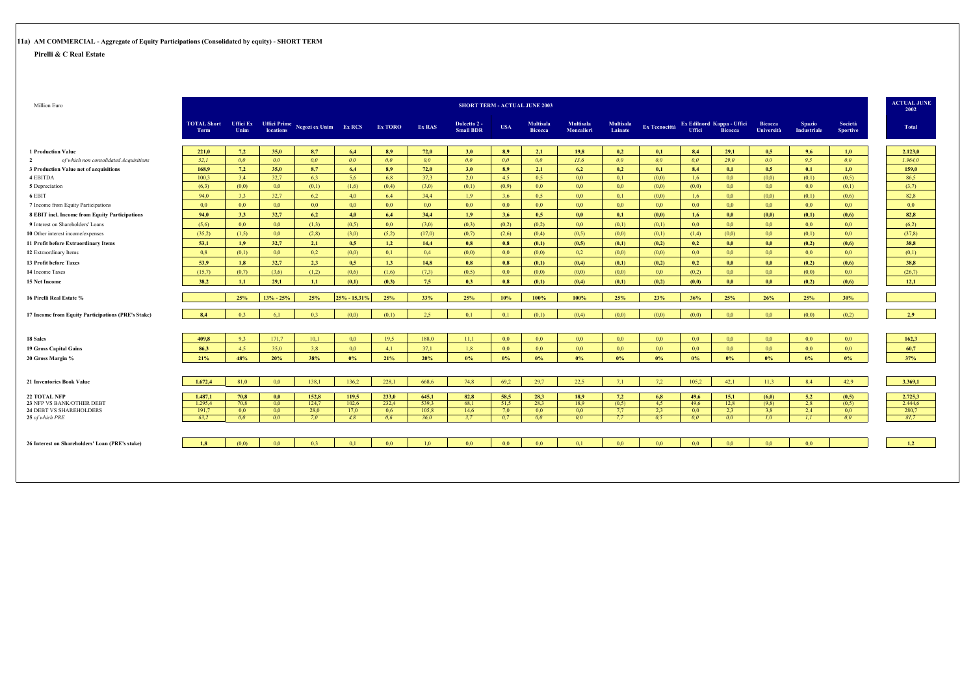# **11a) AM COMMERCIAL - Aggregate of Equity Participations (Consolidated by equity) - SHORT TERM**

|                                                          |         |                |                  |                                                                    |                  |                  |                  |                                  |                  | <b>SHORT TERM - ACTUAL JUNE 2003</b> |                                       |                             |                      |                  |                                              |                              |                              |                            | 2002    |
|----------------------------------------------------------|---------|----------------|------------------|--------------------------------------------------------------------|------------------|------------------|------------------|----------------------------------|------------------|--------------------------------------|---------------------------------------|-----------------------------|----------------------|------------------|----------------------------------------------|------------------------------|------------------------------|----------------------------|---------|
|                                                          |         |                |                  | TOTAL Short Uffici Ex Uffici Prime<br><b>Negozi ex Unim</b> Ex RCS |                  | <b>Ex TORO</b>   | <b>Ex RAS</b>    | Dolcetto 2 -<br><b>Small BDR</b> | <b>USA</b>       | <b>Multisala</b><br><b>Bicocca</b>   | <b>Multisala</b><br><b>Moncalieri</b> | <b>Multisala</b><br>Lainate | <b>Ex Tecnocittà</b> | <b>Uffici</b>    | Ex Edilnord Kappa - Uffici<br><b>Bicocca</b> | <b>Bicocca</b><br>Università | <b>Spazio</b><br>Industriale | Società<br><b>Sportive</b> | Total   |
| <b>1 Production Value</b>                                | 221,0   | 7,2            | 35.0             | 8,7                                                                | 6,4              | 8.9              | 72,0             | 3,0                              | 8,9              | 2,1                                  | 19,8                                  | 0,2                         | 0,1                  | 8.4              | 29,1                                         | 0.5                          | 9,6                          | 1,0                        | 2.123,0 |
| of which non consolidated Acquisitions<br>$\overline{2}$ | 52.1    | 0 <sub>0</sub> | 0.0 <sub>1</sub> | 0.0                                                                | 0.0 <sub>1</sub> | 0.0 <sub>1</sub> | 0.0 <sub>1</sub> | 0.0                              | 0.0 <sub>1</sub> | 0.0 <sub>1</sub>                     | 13.6                                  | 0.0 <sub>1</sub>            | 0.0 <sub>1</sub>     | 0.0 <sub>1</sub> | 29.0                                         | 0.0 <sub>1</sub>             | 9.5                          | 00 <sup>2</sup>            | 1.964.0 |
| 3 Production Value net of acquisitions                   | 168.9   | 7,2            | 35,0             | 8,7                                                                | 6,4              | 8.9              | 72,0             | 3,0                              | 8,9              | 2,1                                  | 6,2                                   | 0,2                         | 0,1                  | 8,4              | 0,1                                          | 0.5                          | 0,1                          | 1,0                        | 159,0   |
| 4 EBITDA                                                 | 100.3   | 3.4            | 32.7             | 6.3                                                                | 5.6              | 6.8              | 37.3             | 2.0                              | 4.5              | 0.5                                  | 0.0                                   | 0.1                         | (0.0)                | 1.6              | 0.0                                          | (0,0)                        | (0,1)                        | (0.5)                      | 86.5    |
| 5 Depreciation                                           | (6,3)   | (0.0)          | 0.0              | (0,1)                                                              | (1,6)            | (0,4)            | (3,0)            | (0,1)                            | (0.9)            | 0.0                                  | 0.0                                   | 0.0 <sub>1</sub>            | (0.0)                | (0,0)            | 0.0                                          | 0.0                          | 0.0                          | (0,1)                      | (3,7)   |
| 6 EBIT                                                   | 94,0    | 3,3            | 32.7             | 6,2                                                                | 4,0              | 6,4              | 34.4             | 1,9                              | 3,6              | 0,5                                  | 0,0                                   | 0,1                         | (0,0)                | 1,6              | 0,0                                          | (0,0)                        | (0,1)                        | (0,6)                      | 82,8    |
| 7 Income from Equity Participations                      | 0,0     | 0,0            | 0,0              | 0,0                                                                | 0,0              | 0,0              | 0,0              | 0,0                              | 0,0              | 0,0                                  | 0,0                                   | 0,0                         | 0,0                  | 0,0              | 0,0                                          | 0,0                          | 0,0                          | 0,0                        | 0,0     |
| 8 EBIT incl. Income from Equity Participations           | 94,0    | 3.3            | 32.7             | 6,2                                                                | 4.0              | 6,4              | 34,4             | 1,9                              | 3,6              | 0.5                                  | 0,0                                   | 0,1                         | (0,0)                | 1,6              | 0.0                                          | (0,0)                        | (0,1)                        | (0,6)                      | 82,8    |
| 9 Interest on Shareholders' Loans                        | (5,6)   | 0.0            | 0.0              | (1,3)                                                              | (0,5)            | 0.0              | (3,0)            | (0,3)                            | (0,2)            | (0,2)                                | 0,0                                   | (0,1)                       | (0,1)                | 0,0              | 0.0 <sub>1</sub>                             | 0.0                          | 0,0                          | 0,0                        | (6.2)   |
| 10 Other interest income/expenses                        | (35.2)  | (1,5)          | 0,0              | (2,8)                                                              | (3,0)            | (5,2)            | (17,0)           | (0,7)                            | (2,6)            | (0,4)                                | (0,5)                                 | (0,0)                       | (0,1)                | (1,4)            | (0,0)                                        | 0,0                          | (0,1)                        | 0,0                        | (37.8)  |
| 11 Profit before Extraordinary Items                     | 53,1    | 1.9            | 32,7             | 2,1                                                                | 0.5              | 1,2              | 14,4             | 0.8                              | 0.8              | (0,1)                                | (0.5)                                 | (0,1)                       | (0,2)                | 0.2              | 0.0                                          | 0,0                          | (0,2)                        | (0,6)                      | 38,8    |
| 12 Extraordinary Items                                   | 0.8     | (0.1)          | 0.0              | 0.2                                                                | (0.0)            | 0.1              | 0.4              | (0.0)                            | 0.0              | (0.0)                                | 0.2                                   | (0.0)                       | (0.0)                | 0.0              | 0.0 <sub>1</sub>                             | 0.0                          | 0.0                          | 0.0 <sub>1</sub>           | (0,1)   |
| 13 Profit before Taxes                                   | 53,9    | 1,8            | 32,7             | 2.3                                                                | 0.5              | 1,3              | 14,8             | 0.8                              | 0,8              | (0,1)                                | (0,4)                                 | (0,1)                       | (0,2)                | 0,2              | 0.0                                          | 0,0                          | (0,2)                        | (0,6)                      | 38,8    |
| 14 Income Taxes                                          | (15,7)  | (0,7)          | (3,6)            | (1,2)                                                              | (0,6)            | (1,6)            | (7,3)            | (0,5)                            | 0.0              | (0,0)                                | (0,0)                                 | (0,0)                       | 0,0                  | (0,2)            | 0.0                                          | 0.0                          | (0,0)                        | 0,0                        | (26,7)  |
| <b>15 Net Income</b>                                     | 38.2    | 1.1            | 29.1             | 1.1                                                                | (0,1)            | (0,3)            | 7.5              | 0.3                              | 0.8              | (0,1)                                | (0,4)                                 | (0,1)                       | (0,2)                | (0,0)            | 0.0                                          | 0.0                          | (0.2)                        | (0,6)                      | 12.1    |
|                                                          |         |                |                  |                                                                    |                  |                  |                  |                                  |                  |                                      |                                       |                             |                      |                  |                                              |                              |                              |                            |         |
| 16 Pirelli Real Estate %                                 |         | 25%            | $13% - 25%$      | 25%                                                                | 25% - 15,31%     | 25%              | 33%              | 25%                              | 10%              | 100%                                 | 100%                                  | 25%                         | 23%                  | 36%              | 25%                                          | 26%                          | 25%                          | 30%                        |         |
| 17 Income from Equity Participations (PRE's Stake)       | 8,4     | 0.3            | 6,1              | 0.3                                                                | (0,0)            | (0,1)            | 2,5              | 0,1                              | 0,1              | (0,1)                                | (0,4)                                 | (0,0)                       | (0,0)                | (0,0)            | 0.0 <sub>1</sub>                             | 0,0                          | (0,0)                        | (0,2)                      | 2,9     |
| <b>18 Sales</b>                                          | 409.8   | 9.3            | 171,7            | 10.1                                                               | 0.0 <sub>1</sub> | 19.5             | 188.0            | 11.1                             | 0.0              | 0.0                                  | 0.0                                   | 0.0 <sub>1</sub>            | 0.0 <sub>1</sub>     | 0.0 <sub>1</sub> | 0.0 <sub>1</sub>                             | 0.0                          | 0.0                          | 0.0 <sub>1</sub>           | 162,3   |
| <b>19 Gross Capital Gains</b>                            | 86,3    | 4.5            | 35.0             | 3.8                                                                | 0.0 <sub>1</sub> | 4.1              | 37,1             | 1.8                              | 0.0              | 0.0                                  | 0.0                                   | 0.0 <sub>1</sub>            | 0.0 <sub>1</sub>     | 0.0              | 0.0 <sub>1</sub>                             | 0.0                          | 0.0                          | 0,0                        | 60,7    |
| 20 Gross Margin %                                        | 21%     | 48%            | 20%              | 38%                                                                | $0\%$            | 21%              | 20%              | $0\%$                            | 0%               | $0\%$                                | $0\%$                                 | $0\%$                       | $0\%$                | $0\%$            | $0\%$                                        | $0\%$                        | $0\%$                        | $0\%$                      | 37%     |
|                                                          |         |                |                  |                                                                    |                  |                  |                  |                                  |                  |                                      |                                       |                             |                      |                  |                                              |                              |                              |                            |         |
| <b>21 Inventories Book Value</b>                         | 1.672,4 | 81,0           | 0,0              | 138,1                                                              | 136,2            | 228,1            | 668,6            | 74,8                             | 69.2             | 29,7                                 | 22.5                                  | 7.1                         | 7,2                  | 105,2            | 42,1                                         | 11,3                         | 8.4                          | 42,9                       | 3.369,1 |
| <b>22 TOTAL NFP</b>                                      | 1.487,1 | 70.8           | 0,0              | 152,8                                                              | 119.5            | 233,0            | 645,1            | 82,8                             | 58.5             | 28,3                                 | 18,9                                  | 7,2                         | 6,8                  | 49,6             | 15,1                                         | (6,0)                        | 5,2                          | (0.5)                      | 2.725.3 |
| 23 NFP VS BANK/OTHER DEBT                                | 1.295.4 | 70.8           | 0.0              | 124.7                                                              | 102.6            | 232.4            | 539.3            | 68.1                             | 51.5             | 28.3                                 | 18.9                                  | (0.5)                       | 4.5                  | 49.6             | 12,8                                         | (9.8)                        | 2.8                          | (0.5)                      | 2.444.6 |
| 24 DEBT VS SHAREHOLDERS                                  | 191,7   | 0,0            | 0,0              | 28,0                                                               | 17,0             | 0,6              | 105,8            | 14,6                             | 7.0              | 0,0                                  | 0,0                                   | 7,7                         | 2,3                  | 0,0              | 2,3                                          | 3,8                          | 2,4                          | 0,0                        | 280,7   |
| 25 of which PRE                                          | 63.2    | 0.0            | 0.0 <sub>1</sub> | 7.0                                                                | 4.8              | 0.6              | 36.0             | 3.7                              | 0.7              | 0.0 <sub>1</sub>                     | 0.0 <sub>1</sub>                      | 7.7                         | 0.5                  | 0.0 <sub>1</sub> | 0.0                                          | 1.0 <sub>1</sub>             | 1,1                          | 0.0 <sub>1</sub>           | 81.7    |
| 26 Interest on Shareholders' Loan (PRE's stake)          | 1.8     | (0.0)          | 0.0              | 0.3                                                                | 0.1              | 0.0 <sub>1</sub> | 1.0              | 0.0                              | 0.0              | 0.0                                  | 0.1                                   | 0.0 <sub>1</sub>            | 0.0 <sub>1</sub>     | 0.0 <sub>1</sub> | 0.0 <sub>1</sub>                             | 0.0                          | 0.0                          |                            | 1,2     |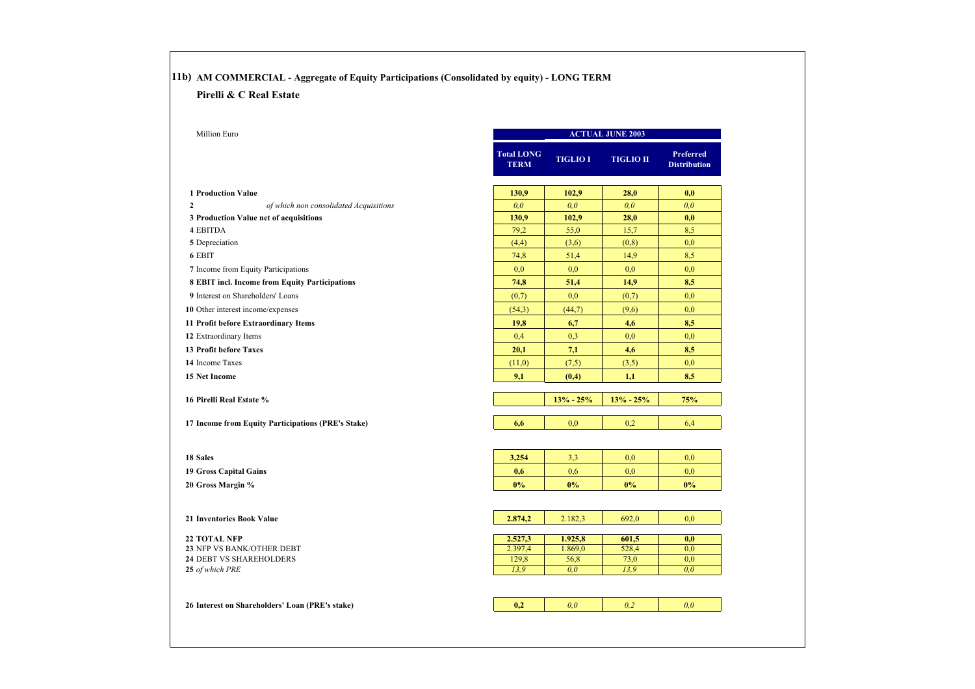# **11b) AM COMMERCIAL - Aggregate of Equity Participations (Consolidated by equity) - LONG TERM**

#### **Pirelli & C Real Estate**

| <b>Total LONG</b><br><b>TERM</b><br>130,9<br>0.0<br>130,9<br>79,2<br>(4,4)<br>74,8<br>0.0<br>74,8<br>(0,7)<br>(54,3) | <b>TIGLIO I</b><br>102,9<br>0.0<br>102,9<br>55,0<br>(3,6)<br>51,4<br>0,0<br>51,4<br>0,0 | <b>TIGLIO II</b><br>28,0<br>0.0 <sub>1</sub><br>28,0<br>15,7<br>(0, 8)<br>14,9<br>0.0 | <b>Preferred</b><br><b>Distribution</b><br>0,0<br>0.0 <sub>0</sub><br>0,0<br>8,5<br>0.0 |
|----------------------------------------------------------------------------------------------------------------------|-----------------------------------------------------------------------------------------|---------------------------------------------------------------------------------------|-----------------------------------------------------------------------------------------|
|                                                                                                                      |                                                                                         |                                                                                       |                                                                                         |
|                                                                                                                      |                                                                                         |                                                                                       |                                                                                         |
|                                                                                                                      |                                                                                         |                                                                                       |                                                                                         |
|                                                                                                                      |                                                                                         |                                                                                       |                                                                                         |
|                                                                                                                      |                                                                                         |                                                                                       |                                                                                         |
|                                                                                                                      |                                                                                         |                                                                                       |                                                                                         |
|                                                                                                                      |                                                                                         |                                                                                       | 8,5                                                                                     |
|                                                                                                                      |                                                                                         |                                                                                       | 0.0                                                                                     |
|                                                                                                                      |                                                                                         | 14,9                                                                                  | 8,5                                                                                     |
|                                                                                                                      |                                                                                         | (0,7)                                                                                 | 0,0                                                                                     |
|                                                                                                                      | (44,7)                                                                                  | (9,6)                                                                                 | 0,0                                                                                     |
| 19,8                                                                                                                 | 6,7                                                                                     | 4,6                                                                                   | 8,5                                                                                     |
| 0,4                                                                                                                  | 0.3                                                                                     | 0,0                                                                                   | 0,0                                                                                     |
| 20,1                                                                                                                 | 7,1                                                                                     | 4,6                                                                                   | 8,5                                                                                     |
| (11,0)                                                                                                               | (7,5)                                                                                   | (3,5)                                                                                 | 0,0                                                                                     |
| 9,1                                                                                                                  | (0,4)                                                                                   | 1,1                                                                                   | 8,5                                                                                     |
|                                                                                                                      |                                                                                         |                                                                                       |                                                                                         |
|                                                                                                                      | $13% - 25%$                                                                             | $13% - 25%$                                                                           | 75%                                                                                     |
| 6,6                                                                                                                  | 0,0                                                                                     | 0.2                                                                                   | 6,4                                                                                     |
|                                                                                                                      |                                                                                         |                                                                                       | 0.0                                                                                     |
|                                                                                                                      |                                                                                         |                                                                                       | 0.0                                                                                     |
|                                                                                                                      |                                                                                         |                                                                                       | $0\%$                                                                                   |
|                                                                                                                      |                                                                                         |                                                                                       |                                                                                         |
| 2.874,2                                                                                                              | 2.182,3                                                                                 | 692,0                                                                                 | 0,0                                                                                     |
|                                                                                                                      |                                                                                         |                                                                                       | 0,0                                                                                     |
| 2.397,4                                                                                                              | 1.869,0                                                                                 | 528,4                                                                                 | 0.0                                                                                     |
| 129,8                                                                                                                | 56,8                                                                                    | 73,0                                                                                  | 0,0                                                                                     |
|                                                                                                                      |                                                                                         |                                                                                       | 0.0                                                                                     |
|                                                                                                                      | 0.0                                                                                     | 0,2                                                                                   | 0.0                                                                                     |
|                                                                                                                      | 3.254<br>0,6<br>0%<br>2.527,3<br>13.9<br>0,2                                            | 3.3<br>0.6<br>$0\%$<br>1.925,8<br>0.0 <sub>1</sub>                                    | 0.0<br>0,0<br>$0\%$<br>601,5<br>13.9                                                    |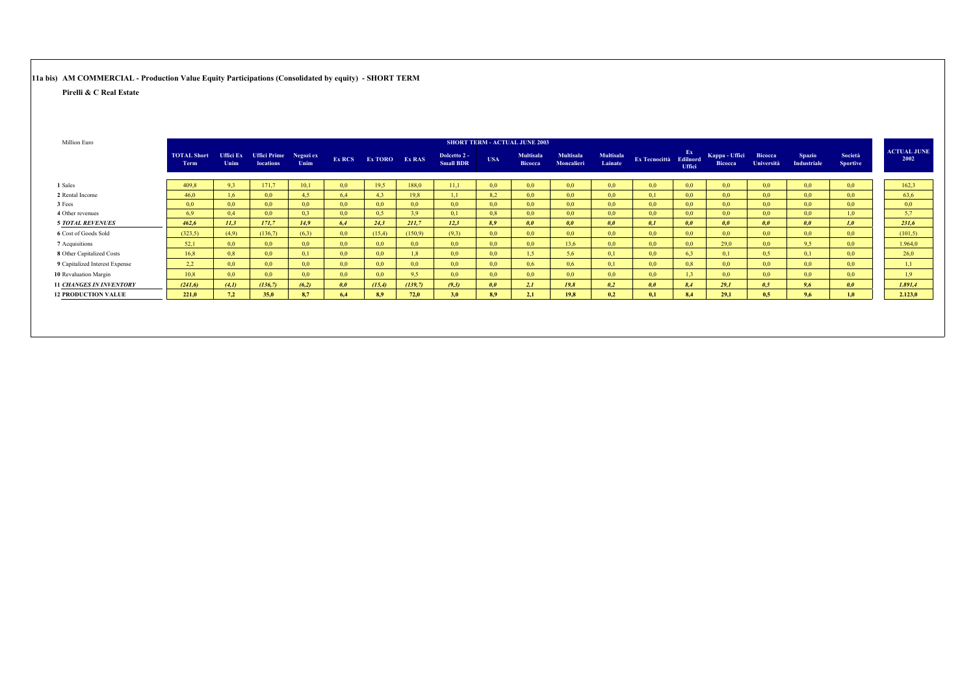**11a bis) AM COMMERCIAL - Production Value Equity Participations (Consolidated by equity) - SHORT TERM**

| - Ex-<br><b>Multisala</b><br><b>Multisala</b><br><b>TOTAL Short</b><br><b>Uffici Prime</b><br><b>Multisala</b><br>Kappa - Uffici<br><b>Uffici Ex</b><br>Negozi ex<br>Dolcetto 2 -<br><b>USA</b><br>Ex RCS Ex TORO Ex RAS<br>Ex Tecnocittà Edilnord<br>Lainate<br><b>Small BDR</b><br>Moncalieri<br>Unim<br>Unim<br><b>Bicocca</b><br><b>locations</b><br>Term<br><b>Bicocca</b><br><b>Uffici</b><br>0.0 <sub>1</sub><br>409.8<br>9,3<br>171.7<br>10.1<br>19.5<br>188.0<br>11,1<br>0.0 <sub>1</sub><br>1 Sales<br>0.0 <sub>1</sub><br>0.0 <sub>1</sub><br>0,0<br>0.0<br>0.0 <sub>1</sub><br>0.0 <sub>1</sub><br>0,0<br>2 Rental Income<br>19,8<br>1,1<br>8.2<br>0,1<br>0,0<br>0,0<br>0,0<br>46.0<br>1,6<br>0,0<br>4.5<br>6,4<br>4.3<br>0,0<br>0,0<br>0,0<br>0,0<br>0,0<br>0,0<br>0.0<br>0,0<br>0,0<br>0,0<br>0,0<br>0,0<br>3 Fees<br>0.0 <sub>1</sub><br>0,0<br>0,0<br>0.0<br>0.0 <sub>1</sub><br>0,0<br>0.0 <sub>1</sub> |  |     |     |     |     |     |     |     | <b>SHORT TERM - ACTUAL JUNE 2003</b> |     |                  |     |                  |                  |                              |                                     |                            |                            |
|--------------------------------------------------------------------------------------------------------------------------------------------------------------------------------------------------------------------------------------------------------------------------------------------------------------------------------------------------------------------------------------------------------------------------------------------------------------------------------------------------------------------------------------------------------------------------------------------------------------------------------------------------------------------------------------------------------------------------------------------------------------------------------------------------------------------------------------------------------------------------------------------------------------------------|--|-----|-----|-----|-----|-----|-----|-----|--------------------------------------|-----|------------------|-----|------------------|------------------|------------------------------|-------------------------------------|----------------------------|----------------------------|
|                                                                                                                                                                                                                                                                                                                                                                                                                                                                                                                                                                                                                                                                                                                                                                                                                                                                                                                          |  |     |     |     |     |     |     |     |                                      |     |                  |     |                  |                  | Bicocca<br><b>Università</b> | <b>Spazio</b><br><b>Industriale</b> | Società<br><b>Sportive</b> | <b>ACTUAL JUNE</b><br>2002 |
|                                                                                                                                                                                                                                                                                                                                                                                                                                                                                                                                                                                                                                                                                                                                                                                                                                                                                                                          |  |     |     |     |     |     |     |     |                                      |     |                  |     |                  |                  |                              | 0,0                                 | 0,0                        | 162,3                      |
|                                                                                                                                                                                                                                                                                                                                                                                                                                                                                                                                                                                                                                                                                                                                                                                                                                                                                                                          |  |     |     |     |     |     |     |     |                                      |     |                  |     |                  |                  |                              | 0,0                                 | 0,0                        | 63,6                       |
|                                                                                                                                                                                                                                                                                                                                                                                                                                                                                                                                                                                                                                                                                                                                                                                                                                                                                                                          |  |     |     |     |     |     |     |     |                                      |     |                  |     |                  |                  |                              | 0,0                                 | 0,0                        | 0,0                        |
| 6.9<br>0,4<br>4 Other revenues                                                                                                                                                                                                                                                                                                                                                                                                                                                                                                                                                                                                                                                                                                                                                                                                                                                                                           |  | 0,0 | 0.3 | 0,0 | 0,5 | 3.9 | 0,1 | 0.8 | 0,0                                  | 0.0 | 0.0 <sub>1</sub> | 0.0 | 0.0 <sub>1</sub> | 0.0 <sub>1</sub> | 0,0                          | 0,0                                 | 1.0                        | 5,7                        |
| 211.7<br>12.3<br>462.6<br>11.3<br>171.7<br>14.9<br>6.4<br>24.3<br>8.9<br>0.0<br>0.0<br>0.1<br>0.0<br>0.0<br>0.0<br><b>5 TOTAL REVENUES</b><br>0.0                                                                                                                                                                                                                                                                                                                                                                                                                                                                                                                                                                                                                                                                                                                                                                        |  |     |     |     |     |     |     |     |                                      |     |                  |     |                  |                  |                              | 0.0                                 | 1,0                        | 231.6                      |
| 6 Cost of Goods Sold<br>0,0<br>(15,4)<br>(9,3)<br>0,0<br>0,0<br>0.0 <sub>1</sub><br>0,0<br>(323.5)<br>(136,7)<br>(6,3)<br>(150.9)<br>0,0<br>0,0<br>0,0<br>0,0<br>(4,9)                                                                                                                                                                                                                                                                                                                                                                                                                                                                                                                                                                                                                                                                                                                                                   |  |     |     |     |     |     |     |     |                                      |     |                  |     |                  |                  |                              | 0,0                                 | 0,0                        | (101, 5)                   |
| 7 Acquisitions<br>0,0<br>0,0<br>29.0<br>0,0<br>52,1<br>0,0<br>0,0<br>13,6<br>0.0 <sub>1</sub><br>0,0<br>0,0<br>0,0<br>0.0<br>0.0 <sub>1</sub><br>0,0<br>0,0                                                                                                                                                                                                                                                                                                                                                                                                                                                                                                                                                                                                                                                                                                                                                              |  |     |     |     |     |     |     |     |                                      |     |                  |     |                  |                  |                              | 9.5                                 | 0,0                        | 1.964,0                    |
| 8 Other Capitalized Costs<br>0,8<br>0,0<br>0,0<br>1,5<br>0,0<br>6.3<br>0,5<br>16,8<br>0,0<br>0.0<br>5,6<br>0,1<br>0,1<br>0,1<br>1.8<br>0,0                                                                                                                                                                                                                                                                                                                                                                                                                                                                                                                                                                                                                                                                                                                                                                               |  |     |     |     |     |     |     |     |                                      |     |                  |     |                  |                  |                              | 0,1                                 | 0,0                        | 26,0                       |
| 0,0<br>0,0<br>0.8<br>0,0<br>0,0<br>2,2<br>0,0<br>0,0<br>0,6<br>0,1<br>0.0<br>9 Capitalized Interest Expense<br>0.0<br>0.0 <sub>1</sub><br>0,6<br>0,0<br>0.0 <sub>1</sub>                                                                                                                                                                                                                                                                                                                                                                                                                                                                                                                                                                                                                                                                                                                                                 |  |     |     |     |     |     |     |     |                                      |     |                  |     |                  |                  |                              | 0,0                                 | 0,0                        | 1,1                        |
| 0,0<br>10 Revaluation Margin<br>10,8<br>0,0<br>0,0<br>0,0<br>0,0<br>0,0<br>0.0 <sub>1</sub><br>0,0<br>0.0 <sub>1</sub><br>0,0<br>0.0<br>9.5<br>0,0<br>1.3<br>0,0                                                                                                                                                                                                                                                                                                                                                                                                                                                                                                                                                                                                                                                                                                                                                         |  |     |     |     |     |     |     |     |                                      |     |                  |     |                  |                  |                              | 0,0                                 | 0,0                        | 1.9                        |
| 0,0<br>(15,4)<br>(139,7)<br>2,1<br>29,1<br>0.5<br>(6,2)<br>(9,3)<br>0,0<br>19,8<br>0,2<br>0,0<br><b>11 CHANGES IN INVENTORY</b><br>(241,6)<br>(4,1)<br>(136,7)<br>8.4                                                                                                                                                                                                                                                                                                                                                                                                                                                                                                                                                                                                                                                                                                                                                    |  |     |     |     |     |     |     |     |                                      |     |                  |     |                  |                  |                              | 9,6                                 | 0,0                        | 1.891,4                    |
| 3,0<br>7,2<br>72,0<br>19,8<br>29,1<br>0,5<br><b>12 PRODUCTION VALUE</b><br>221,0<br>35.0<br>8.9<br>2,1<br>0.2<br>8,7<br>6,4<br>0.1<br>8,4<br>8.9                                                                                                                                                                                                                                                                                                                                                                                                                                                                                                                                                                                                                                                                                                                                                                         |  |     |     |     |     |     |     |     |                                      |     |                  |     |                  |                  |                              | 9,6                                 | 1,0                        | 2.123,0                    |
|                                                                                                                                                                                                                                                                                                                                                                                                                                                                                                                                                                                                                                                                                                                                                                                                                                                                                                                          |  |     |     |     |     |     |     |     |                                      |     |                  |     |                  |                  |                              |                                     |                            |                            |
|                                                                                                                                                                                                                                                                                                                                                                                                                                                                                                                                                                                                                                                                                                                                                                                                                                                                                                                          |  |     |     |     |     |     |     |     |                                      |     |                  |     |                  |                  |                              |                                     |                            |                            |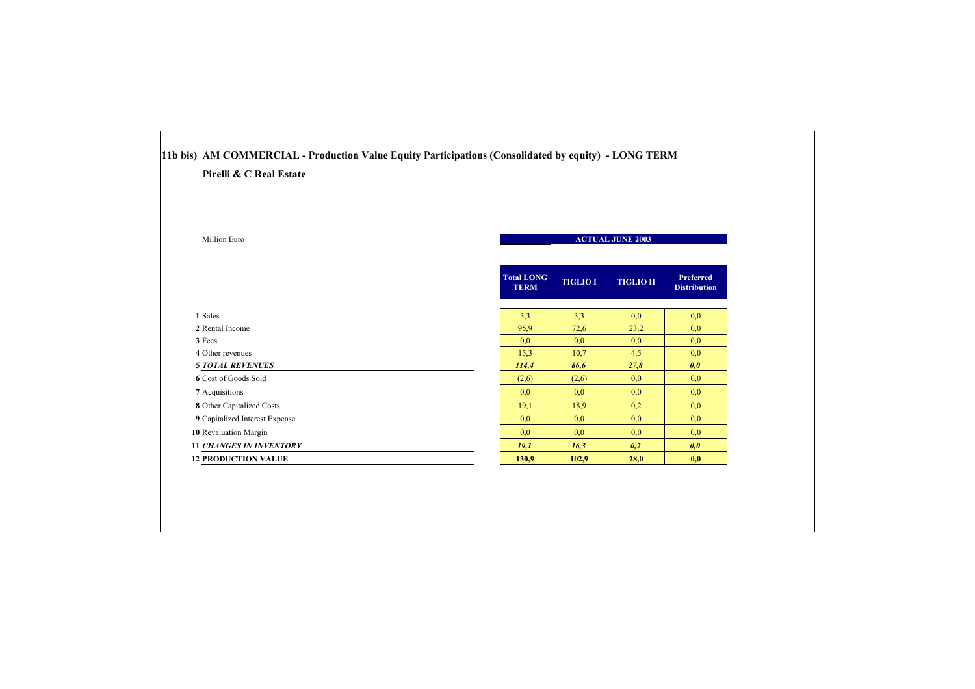| Pirelli & C Real Estate        |                                  |                 |                         |                                         |
|--------------------------------|----------------------------------|-----------------|-------------------------|-----------------------------------------|
| Million Euro                   |                                  |                 | <b>ACTUAL JUNE 2003</b> |                                         |
|                                | <b>Total LONG</b><br><b>TERM</b> | <b>TIGLIO I</b> | <b>TIGLIO II</b>        | <b>Preferred</b><br><b>Distribution</b> |
| 1 Sales                        | 3,3                              | 3,3             | 0,0                     | 0,0                                     |
| 2 Rental Income                | 95,9                             | 72,6            | 23,2                    | 0,0                                     |
| 3 Fees                         | 0,0                              | 0,0             | 0,0                     | 0,0                                     |
| 4 Other revenues               | 15,3                             | 10,7            | 4,5                     | 0,0                                     |
| <b>5 TOTAL REVENUES</b>        | 114,4                            | 86,6            | 27,8                    | 0,0                                     |
| 6 Cost of Goods Sold           | (2,6)                            | (2,6)           | 0,0                     | 0,0                                     |
| 7 Acquisitions                 | 0,0                              | 0,0             | 0,0                     | 0,0                                     |
| 8 Other Capitalized Costs      | 19,1                             | 18.9            | 0,2                     | 0,0                                     |
| 9 Capitalized Interest Expense | 0,0                              | 0,0             | 0,0                     | 0,0                                     |
| 10 Revaluation Margin          | 0,0                              | 0,0             | 0,0                     | 0,0                                     |
| <b>11 CHANGES IN INVENTORY</b> | 19,1                             | 16,3            | 0,2                     | 0,0                                     |
| <b>12 PRODUCTION VALUE</b>     | 130,9                            | 102,9           | 28,0                    | 0,0                                     |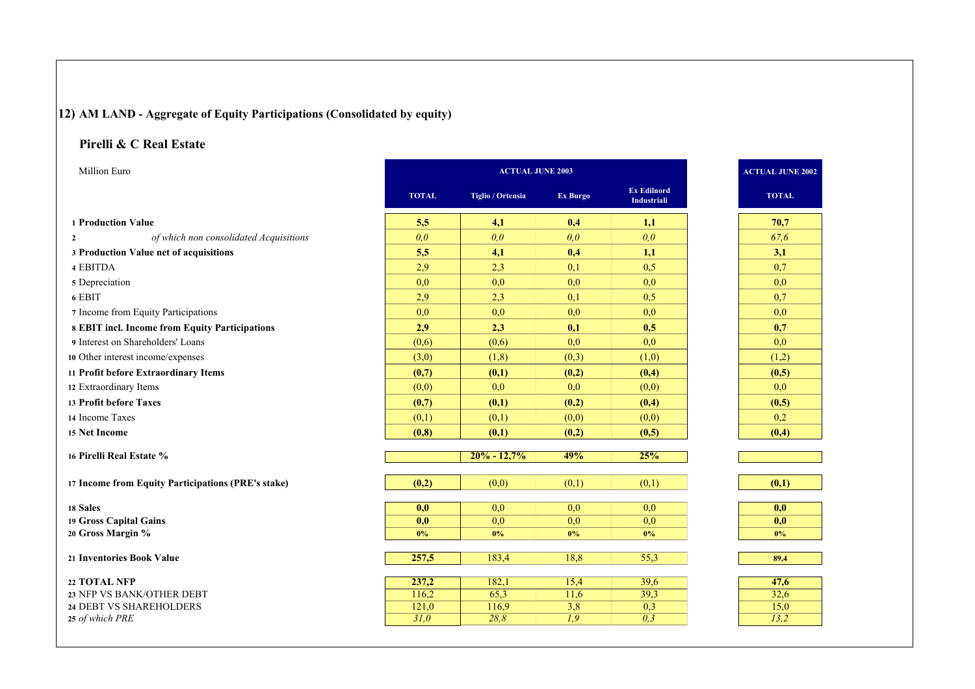# **12) AM LAND - Aggregate of Equity Participations (Consolidated by equity)**

### **Pirelli & C Real Estate**

| Million Euro                                           | <b>ACTUAL JUNE 2003</b> |                   |                  |                                          |  | <b>ACTUAL JUNE 2002</b> |  |
|--------------------------------------------------------|-------------------------|-------------------|------------------|------------------------------------------|--|-------------------------|--|
|                                                        | <b>TOTAL</b>            | Tiglio / Ortensia | Ex Burgo         | <b>Ex Edilnord</b><br><b>Industriali</b> |  | <b>TOTAL</b>            |  |
| 1 Production Value                                     | 5,5                     | 4,1               | 0,4              | 1,1                                      |  | 70,7                    |  |
| of which non consolidated Acquisitions<br>$\mathbf{2}$ | 0,0                     | 0.0               | 0,0              | 0.0                                      |  | 67.6                    |  |
| 3 Production Value net of acquisitions                 | 5,5                     | 4,1               | 0,4              | 1,1                                      |  | 3,1                     |  |
| 4 EBITDA                                               | 2,9                     | 2,3               | 0,1              | 0,5                                      |  | 0,7                     |  |
| 5 Depreciation                                         | 0,0                     | 0,0               | 0,0              | 0,0                                      |  | 0,0                     |  |
| 6 EBIT                                                 | 2,9                     | 2,3               | 0,1              | 0,5                                      |  | 0,7                     |  |
| 7 Income from Equity Participations                    | 0,0                     | 0,0               | 0,0              | 0,0                                      |  | 0,0                     |  |
| 8 EBIT incl. Income from Equity Participations         | 2,9                     | 2,3               | 0,1              | 0,5                                      |  | 0,7                     |  |
| 9 Interest on Shareholders' Loans                      | (0,6)                   | (0,6)             | 0.0              | 0.0                                      |  | 0.0                     |  |
| 10 Other interest income/expenses                      | (3,0)                   | (1, 8)            | (0,3)            | (1,0)                                    |  | (1,2)                   |  |
| 11 Profit before Extraordinary Items                   | (0,7)                   | (0,1)             | (0,2)            | (0,4)                                    |  | (0,5)                   |  |
| 12 Extraordinary Items                                 | (0,0)                   | 0,0               | 0,0              | (0,0)                                    |  | 0,0                     |  |
| 13 Profit before Taxes                                 | (0,7)                   | (0,1)             | (0,2)            | (0,4)                                    |  | (0,5)                   |  |
| 14 Income Taxes                                        | (0,1)                   | (0,1)             | (0,0)            | (0,0)                                    |  | 0,2                     |  |
| 15 Net Income                                          | (0, 8)                  | (0,1)             | (0,2)            | (0,5)                                    |  | (0,4)                   |  |
| 16 Pirelli Real Estate %                               |                         | $20% - 12,7%$     | 49%              | 25%                                      |  |                         |  |
| 17 Income from Equity Participations (PRE's stake)     | (0,2)                   | (0,0)             | (0,1)            | (0,1)                                    |  | (0,1)                   |  |
|                                                        |                         |                   |                  |                                          |  |                         |  |
| 18 Sales                                               | 0,0                     | 0,0               | 0,0              | 0,0                                      |  | 0,0                     |  |
| 19 Gross Capital Gains<br>20 Gross Margin %            | 0,0<br>0%               | 0,0<br>$0\%$      | 0,0<br>0%        | 0,0<br>0%                                |  | 0,0<br>0%               |  |
|                                                        |                         |                   |                  |                                          |  |                         |  |
| 21 Inventories Book Value                              | 257,5                   | 183,4             | 18,8             | 55,3                                     |  | 89,4                    |  |
| 22 TOTAL NFP                                           | 237,2                   | 182,1             | 15,4             | 39,6                                     |  | 47,6                    |  |
| 23 NFP VS BANK/OTHER DEBT                              | 116,2                   | 65,3              | 11,6             | 39,3                                     |  | 32,6                    |  |
| 24 DEBT VS SHAREHOLDERS                                | 121,0                   | 116,9             | $\overline{3,8}$ | 0,3                                      |  | 15,0                    |  |
| 25 of which PRE                                        | $\overline{31,0}$       | 28,8              | $\overline{1,9}$ | $\overline{0,3}$                         |  | 13,2                    |  |

| <b>TOTAL</b>     |
|------------------|
| 70,7             |
| 67,6             |
| 3,1              |
| 0,7              |
| $0,\overline{0}$ |
| 0,7              |
| $0,\overline{0}$ |
| 0,7              |
| $_{0,0}$         |
| (1,2)            |
| (0,5)            |
| $_{\rm 0,0}$     |
| (0, 5)           |
| $_{0,2}$         |
| (0,4)            |

| 0,0  |
|------|
| 0,0  |
| 0%   |
|      |
| 89,4 |
|      |
|      |

| 47,6 |
|------|
| 32,6 |
| 15,0 |
| 13.2 |
|      |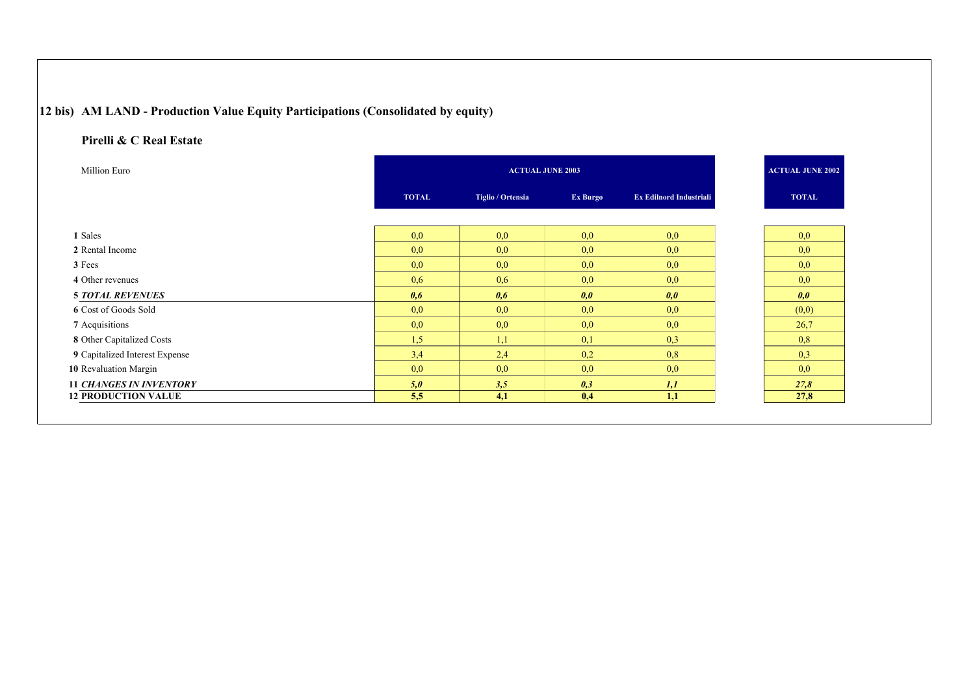# **12 bis) AM LAND - Production Value Equity Participations (Consolidated by equity)**

| Million Euro                   | <b>ACTUAL JUNE 2003</b> |                   |          |                                | <b>ACTUAL JUNE 2002</b> |
|--------------------------------|-------------------------|-------------------|----------|--------------------------------|-------------------------|
|                                | <b>TOTAL</b>            | Tiglio / Ortensia | Ex Burgo | <b>Ex Edilnord Industriali</b> | <b>TOTAL</b>            |
|                                |                         |                   |          |                                |                         |
| 1 Sales                        | 0,0                     | 0,0               | 0,0      | 0,0                            | 0,0                     |
| 2 Rental Income                | 0,0                     | 0,0               | 0,0      | 0,0                            | 0,0                     |
| 3 Fees                         | 0,0                     | 0,0               | 0,0      | 0,0                            | 0,0                     |
| 4 Other revenues               | 0,6                     | 0,6               | 0,0      | 0,0                            | 0,0                     |
| <b>5 TOTAL REVENUES</b>        | 0,6                     | 0.6               | 0,0      | 0,0                            | 0,0                     |
| 6 Cost of Goods Sold           | 0,0                     | 0,0               | 0,0      | 0,0                            | (0,0)                   |
| 7 Acquisitions                 | 0,0                     | 0,0               | 0,0      | 0,0                            | 26,7                    |
| 8 Other Capitalized Costs      | 1,5                     | 1,1               | 0,1      | 0,3                            | 0,8                     |
| 9 Capitalized Interest Expense | 3,4                     | 2,4               | 0,2      | 0,8                            | 0,3                     |
| 10 Revaluation Margin          | 0,0                     | 0,0               | 0,0      | 0,0                            | 0,0                     |
| <b>11 CHANGES IN INVENTORY</b> | 5,0                     | 3,5               | 0,3      | 1,1                            | 27,8                    |
| <b>12 PRODUCTION VALUE</b>     | 5,5                     | 4,1               | 0,4      | 1,1                            | 27,8                    |